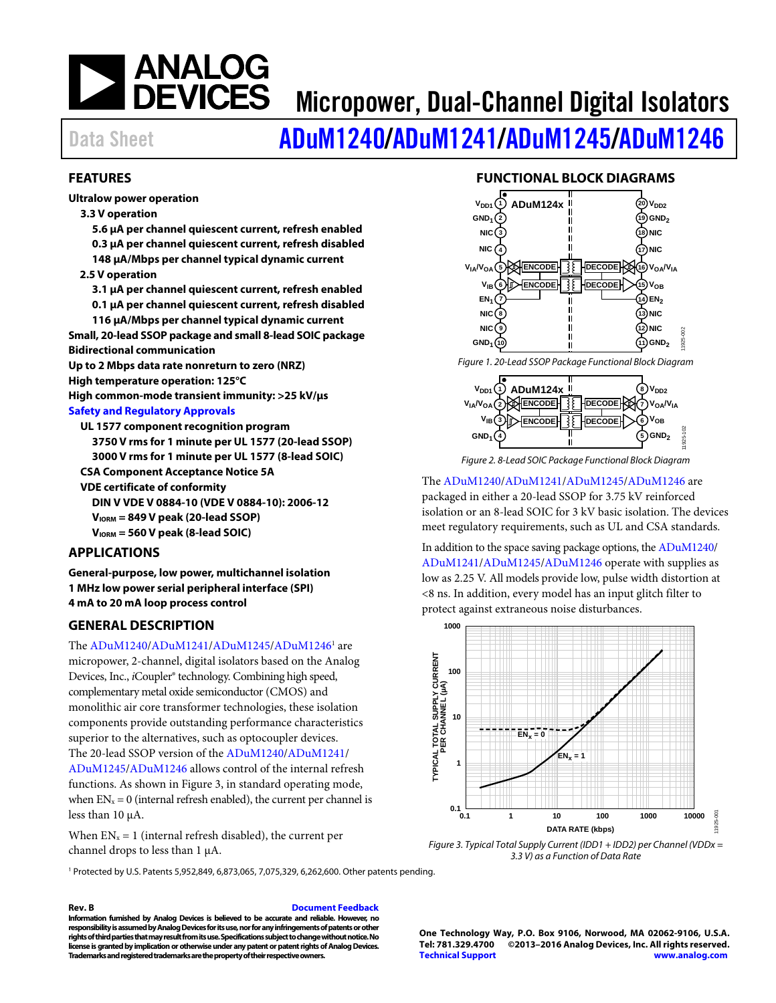# **ANALOG<br>DEVICES**

### Micropower, Dual-Channel Digital Isolators

## Data Sheet **[ADuM1240](http://www.analog.com/ADuM1240?doc=ADuM1240_1241_1245_1246.pdf)[/ADuM1241/](http://www.analog.com/ADuM1241?doc=ADuM1240_1241_1245_1246.pdf)[ADuM1245/](http://www.analog.com/ADuM1245?doc=ADuM1240_1241_1245_1246.pdf)[ADuM1246](http://www.analog.com/ADuM1246?doc=ADuM1240_1241_1245_1246.pdf)**

### <span id="page-0-1"></span>**FEATURES**

**Ultralow power operation** 

#### **3.3 V operation**

**5.6 μA per channel quiescent current, refresh enabled 0.3 μA per channel quiescent current, refresh disabled 148 μA/Mbps per channel typical dynamic current** 

### **2.5 V operation**

**3.1 μA per channel quiescent current, refresh enabled** 

**0.1 μA per channel quiescent current, refresh disabled 116 μA/Mbps per channel typical dynamic current** 

**Small, 20-lead SSOP package and small 8-lead SOIC package Bidirectional communication** 

**Up to 2 Mbps data rate nonreturn to zero (NRZ)** 

**High temperature operation: 125°C** 

**High common-mode transient immunity: >25 kV/μs** 

### **[Safety and Regulatory Approvals](http://www.analog.com/icouplersafety?doc=adum1240_1241_1245_1246.pdf)**

**UL 1577 component recognition program 3750 V rms for 1 minute per UL 1577 (20-lead SSOP) 3000 V rms for 1 minute per UL 1577 (8-lead SOIC) CSA Component Acceptance Notice 5A** 

**VDE certificate of conformity** 

**DIN V VDE V 0884-10 (VDE V 0884-10): 2006-12** 

- **VIORM = 849 V peak (20-lead SSOP)**
- **VIORM = 560 V peak (8-lead SOIC)**

### <span id="page-0-2"></span>**APPLICATIONS**

**General-purpose, low power, multichannel isolation 1 MHz low power serial peripheral interface (SPI) 4 mA to 20 mA loop process control** 

### <span id="page-0-3"></span>**GENERAL DESCRIPTION**

The [ADuM1240/](http://www.analog.com/ADuM1240?doc=ADuM1240_1241_1245_1246.pdf)[ADuM1241/](http://www.analog.com/ADuM1241?doc=ADuM1240_1241_1245_1246.pdf)[ADuM1245/](http://www.analog.com/ADuM1245?doc=ADuM1240_1241_1245_1246.pdf)ADuM1246<sup>1</sup> are micropower, 2-channel, digital isolators based on the Analog Devices, Inc., *i*Coupler® technology. Combining high speed, complementary metal oxide semiconductor (CMOS) and monolithic air core transformer technologies, these isolation components provide outstanding performance characteristics superior to the alternatives, such as optocoupler devices. The 20-lead SSOP version of th[e ADuM1240](http://www.analog.com/ADuM1240?doc=ADuM1240_1241_1245_1246.pdf)[/ADuM1241/](http://www.analog.com/ADuM1241?doc=ADuM1240_1241_1245_1246.pdf)

[ADuM1245/](http://www.analog.com/ADuM1245?doc=ADuM1240_1241_1245_1246.pdf)[ADuM1246 a](http://www.analog.com/ADuM1246?doc=ADuM1240_1241_1245_1246.pdf)llows control of the internal refresh functions. As shown i[n Figure 3,](#page-0-0) in standard operating mode, when  $EN_x = 0$  (internal refresh enabled), the current per channel is less than 10 μA.

When  $EN_x = 1$  (internal refresh disabled), the current per channel drops to less than 1 μA.

### 1 Protected by U.S. Patents 5,952,849, 6,873,065, 7,075,329, 6,262,600. Other patents pending.

#### **Rev. B [Document Feedback](https://form.analog.com/Form_Pages/feedback/documentfeedback.aspx?doc=ADuM1240_1241_1245_1246.pdf&product=ADuM1240%20ADUM1241%20ADUM1245%20ADUM1246&rev=B)**

**Information furnished by Analog Devices is believed to be accurate and reliable. However, no responsibility is assumed by Analog Devices for its use, nor for any infringements of patents or other rights of third parties that may result from its use. Specifications subject to change without notice. No license is granted by implication or otherwise under any patent or patent rights of Analog Devices. Trademarks and registered trademarks are the property of their respective owners.** 

### **FUNCTIONAL BLOCK DIAGRAMS**

<span id="page-0-4"></span>

Figure 2. 8-Lead SOIC Package Functional Block Diagram

### The [ADuM1240/](http://www.analog.com/ADuM1240?doc=ADuM1240_1241_1245_1246.pdf)[ADuM1241/](http://www.analog.com/ADuM1241?doc=ADuM1240_1241_1245_1246.pdf)[ADuM1245/](http://www.analog.com/ADuM1245?doc=ADuM1240_1241_1245_1246.pdf)[ADuM1246 a](http://www.analog.com/ADuM1246?doc=ADuM1240_1241_1245_1246.pdf)re

packaged in either a 20-lead SSOP for 3.75 kV reinforced isolation or an 8-lead SOIC for 3 kV basic isolation. The devices meet regulatory requirements, such as UL and CSA standards.

In addition to the space saving package options, th[e ADuM1240/](http://www.analog.com/ADuM1240?doc=ADuM1240_1241_1245_1246.pdf) [ADuM1241/](http://www.analog.com/ADuM1241?doc=ADuM1240_1241_1245_1246.pdf)[ADuM1245/](http://www.analog.com/ADuM1245?doc=ADuM1240_1241_1245_1246.pdf)[ADuM1246 o](http://www.analog.com/ADuM1246?doc=ADuM1240_1241_1245_1246.pdf)perate with supplies as low as 2.25 V. All models provide low, pulse width distortion at <8 ns. In addition, every model has an input glitch filter to protect against extraneous noise disturbances.



<span id="page-0-0"></span>Figure 3. Typical Total Supply Current (IDD1 + IDD2) per Channel (VDDx = 3.3 V) as a Function of Data Rate

**One Technology Way, P.O. Box 9106, Norwood, MA 02062-9106, U.S.A. Tel: 781.329.4700 ©2013–2016 Analog Devices, Inc. All rights reserved. [Technical Support](http://www.analog.com/en/content/technical_support_page/fca.html) [www.analog.com](http://www.analog.com/)**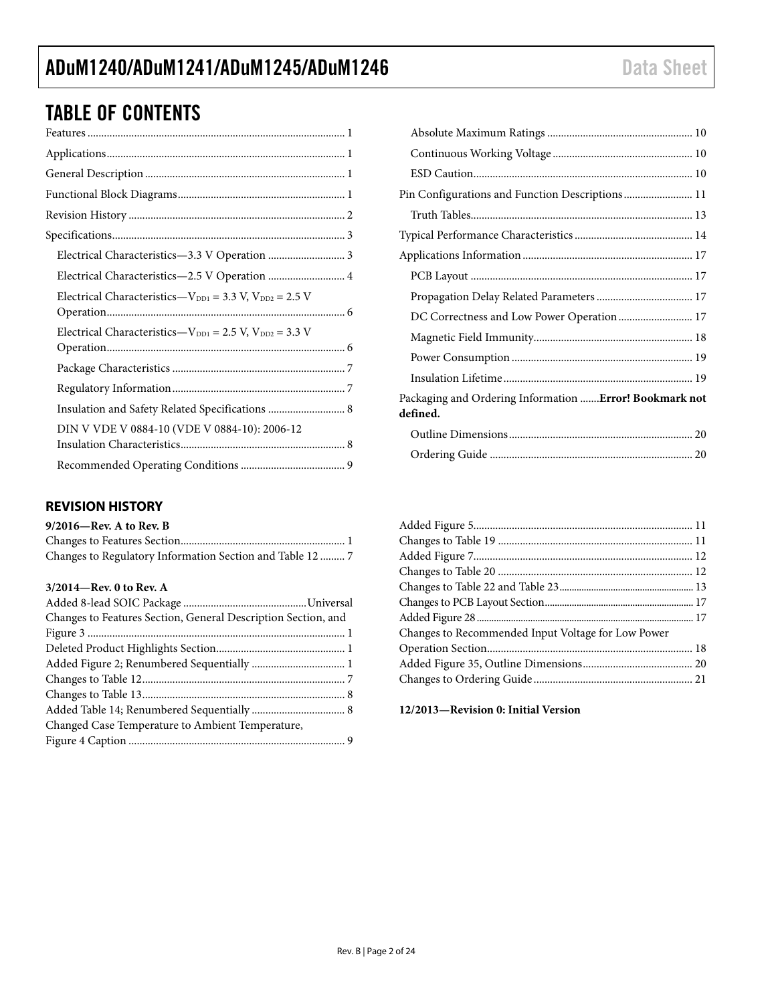### TABLE OF CONTENTS

| Electrical Characteristics-2.5 V Operation  4                    |  |
|------------------------------------------------------------------|--|
| Electrical Characteristics— $V_{DD1} = 3.3$ V, $V_{DD2} = 2.5$ V |  |
| Electrical Characteristics- $V_{DD1} = 2.5$ V, $V_{DD2} = 3.3$ V |  |
|                                                                  |  |
|                                                                  |  |
|                                                                  |  |
| DIN V VDE V 0884-10 (VDE V 0884-10): 2006-12                     |  |
|                                                                  |  |

### <span id="page-1-0"></span>**REVISION HISTORY**

#### **9/2016—Rev. A to Rev. B**

| Changes to Regulatory Information Section and Table 12  7 |  |
|-----------------------------------------------------------|--|

### **3/2014—Rev. 0 to Rev. A**

| Changes to Features Section, General Description Section, and |  |
|---------------------------------------------------------------|--|
|                                                               |  |
|                                                               |  |
|                                                               |  |
|                                                               |  |
|                                                               |  |
|                                                               |  |
| Changed Case Temperature to Ambient Temperature,              |  |
|                                                               |  |

| Pin Configurations and Function Descriptions 11                           |  |
|---------------------------------------------------------------------------|--|
|                                                                           |  |
|                                                                           |  |
|                                                                           |  |
|                                                                           |  |
|                                                                           |  |
| DC Correctness and Low Power Operation  17                                |  |
|                                                                           |  |
|                                                                           |  |
|                                                                           |  |
| Packaging and Ordering Information <b>Error! Bookmark not</b><br>defined. |  |
|                                                                           |  |
|                                                                           |  |

| Changes to Recommended Input Voltage for Low Power |  |
|----------------------------------------------------|--|
|                                                    |  |
|                                                    |  |
|                                                    |  |

### **12/2013—Revision 0: Initial Version**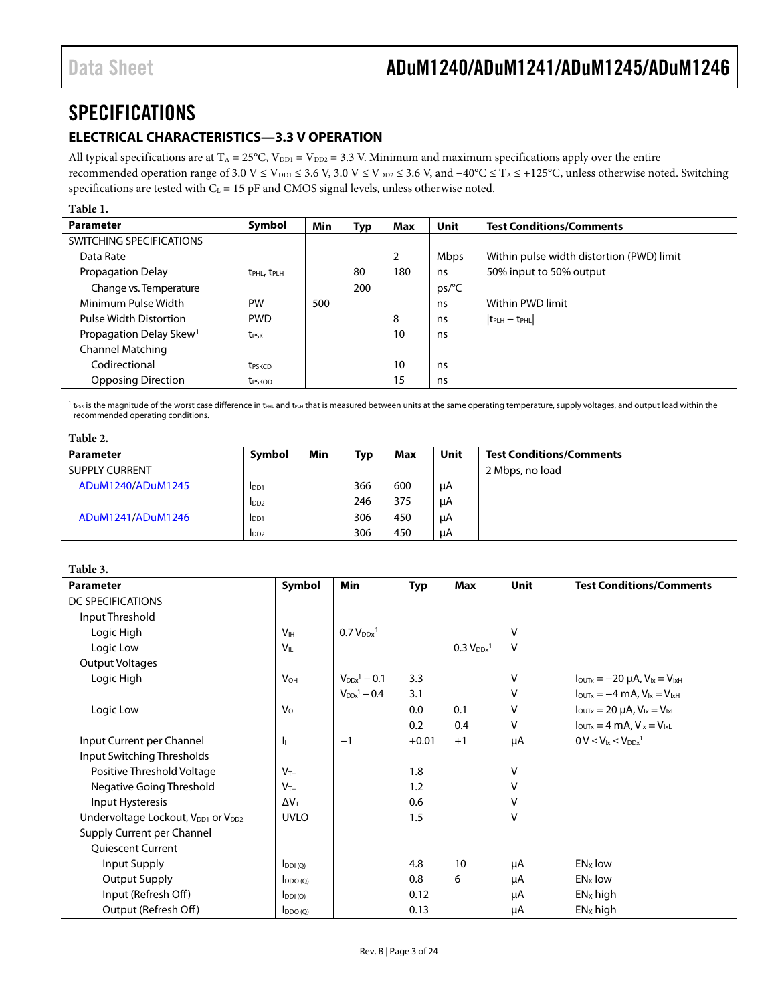### <span id="page-2-0"></span>**SPECIFICATIONS**

### <span id="page-2-1"></span>**ELECTRICAL CHARACTERISTICS—3.3 V OPERATION**

All typical specifications are at  $T_A = 25^{\circ}C$ ,  $V_{DD1} = V_{DD2} = 3.3$  V. Minimum and maximum specifications apply over the entire recommended operation range of 3.0 V ≤ V<sub>DD1</sub> ≤ 3.6 V, 3.0 V ≤ V<sub>DD2</sub> ≤ 3.6 V, and −40°C ≤ T<sub>A</sub> ≤ +125°C, unless otherwise noted. Switching specifications are tested with  $C_L = 15$  pF and CMOS signal levels, unless otherwise noted.

### **Table 1.**

| <b>Parameter</b>                    | Symbol                              | Min | Typ | Max | Unit        | <b>Test Conditions/Comments</b>           |
|-------------------------------------|-------------------------------------|-----|-----|-----|-------------|-------------------------------------------|
| SWITCHING SPECIFICATIONS            |                                     |     |     |     |             |                                           |
| Data Rate                           |                                     |     |     | ∍   | <b>Mbps</b> | Within pulse width distortion (PWD) limit |
| Propagation Delay                   | $t_{\text{PHL}}$ , $t_{\text{PLH}}$ |     | 80  | 180 | ns.         | 50% input to 50% output                   |
| Change vs. Temperature              |                                     |     | 200 |     | ps/°C       |                                           |
| Minimum Pulse Width                 | PW                                  | 500 |     |     | ns          | Within PWD limit                          |
| Pulse Width Distortion              | <b>PWD</b>                          |     |     | 8   | ns          | $ t_{\text{PLH}} - t_{\text{PHL}} $       |
| Propagation Delay Skew <sup>1</sup> | <b>t</b> <sub>PSK</sub>             |     |     | 10  | ns          |                                           |
| Channel Matching                    |                                     |     |     |     |             |                                           |
| Codirectional                       | <b>t</b> <sub>pskCD</sub>           |     |     | 10  | ns          |                                           |
| <b>Opposing Direction</b>           | <b>t</b> <sub>PSKOD</sub>           |     |     | 15  | ns          |                                           |

 $1$  t<sub>PSK</sub> is the magnitude of the worst case difference in t<sub>PHL</sub> and t<sub>PLH</sub> that is measured between units at the same operating temperature, supply voltages, and output load within the recommended operating conditions.

#### **Table 2.**

| Parameter             | Symbol           | Min | Typ | <b>Max</b> | Unit | <b>Test Conditions/Comments</b> |
|-----------------------|------------------|-----|-----|------------|------|---------------------------------|
| <b>SUPPLY CURRENT</b> |                  |     |     |            |      | 2 Mbps, no load                 |
| ADuM1240/ADuM1245     | I <sub>DD1</sub> |     | 366 | 600        | μA   |                                 |
|                       | I <sub>DD2</sub> |     | 246 | 375        | μA   |                                 |
| ADuM1241/ADuM1246     | I <sub>DD1</sub> |     | 306 | 450        | μA   |                                 |
|                       | I <sub>DD2</sub> |     | 306 | 450        | μA   |                                 |

#### <span id="page-2-2"></span>**Table 3.**

| <b>Parameter</b>                                           | Symbol                 | <b>Min</b>                        | <b>Typ</b> | <b>Max</b>                 | <b>Unit</b> | <b>Test Conditions/Comments</b>                                |
|------------------------------------------------------------|------------------------|-----------------------------------|------------|----------------------------|-------------|----------------------------------------------------------------|
| DC SPECIFICATIONS                                          |                        |                                   |            |                            |             |                                                                |
| Input Threshold                                            |                        |                                   |            |                            |             |                                                                |
| Logic High                                                 | <b>V</b> <sub>IH</sub> | 0.7 V <sub>DDx</sub> <sup>1</sup> |            |                            | V           |                                                                |
| Logic Low                                                  | $V_{\parallel}$        |                                   |            | $0.3 V_{DDx}$ <sup>1</sup> | v           |                                                                |
| <b>Output Voltages</b>                                     |                        |                                   |            |                            |             |                                                                |
| Logic High                                                 | $V_{OH}$               | $V_{DDx}$ <sup>1</sup> – 0.1      | 3.3        |                            | V           | $I_{\text{OUTx}} = -20 \mu A$ , $V_{1x} = V_{1xH}$             |
|                                                            |                        | $V_{DDx}$ <sup>1</sup> – 0.4      | 3.1        |                            | V           | $I_{\text{OUTx}} = -4 \text{ mA}$ , $V_{1x} = V_{1xH}$         |
| Logic Low                                                  | $V_{OL}$               |                                   | 0.0        | 0.1                        | V           | $I_{\text{OUTx}} = 20 \mu A$ , $V_{\text{lx}} = V_{\text{lx}}$ |
|                                                            |                        |                                   | 0.2        | 0.4                        | v           | $I_{\text{OUTx}} = 4 \text{ mA}$ , $V_{1x} = V_{1xL}$          |
| Input Current per Channel                                  | h                      | $-1$                              | $+0.01$    | $+1$                       | μA          | $0 V \leq V_{1x} \leq V_{DDx}^{-1}$                            |
| Input Switching Thresholds                                 |                        |                                   |            |                            |             |                                                                |
| Positive Threshold Voltage                                 | $V_{T+}$               |                                   | 1.8        |                            | V           |                                                                |
| Negative Going Threshold                                   | $V_{T-}$               |                                   | 1.2        |                            | V           |                                                                |
| Input Hysteresis                                           | $\Delta V_T$           |                                   | 0.6        |                            | V           |                                                                |
| Undervoltage Lockout, V <sub>DD1</sub> or V <sub>DD2</sub> | <b>UVLO</b>            |                                   | 1.5        |                            | V           |                                                                |
| Supply Current per Channel                                 |                        |                                   |            |                            |             |                                                                |
| <b>Oujescent Current</b>                                   |                        |                                   |            |                            |             |                                                                |
| Input Supply                                               | $I_{DDI(O)}$           |                                   | 4.8        | 10                         | μA          | EN <sub>x</sub> low                                            |
| Output Supply                                              | $I_{DDO(O)}$           |                                   | 0.8        | 6                          | μA          | EN <sub>x</sub> low                                            |
| Input (Refresh Off)                                        | $I_{DDI(Q)}$           |                                   | 0.12       |                            | μA          | $ENx$ high                                                     |
| Output (Refresh Off)                                       | $I_{DDO(Q)}$           |                                   | 0.13       |                            | μA          | $ENX$ high                                                     |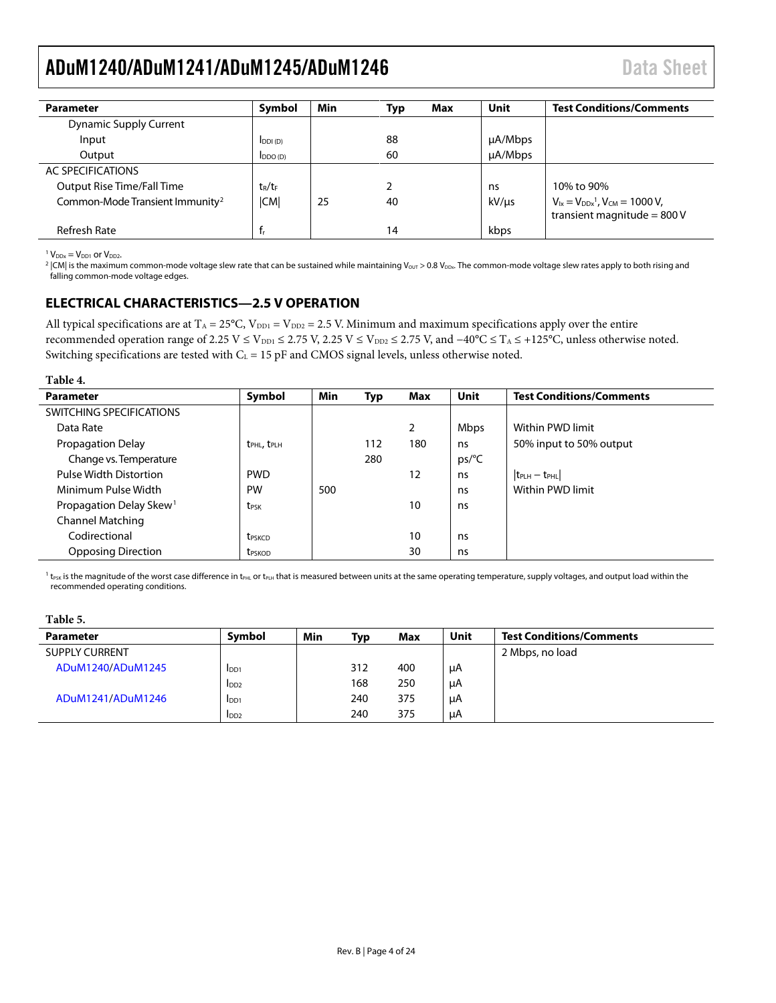<span id="page-3-1"></span>

| <b>Parameter</b>                            | Symbol                      | Min | Max<br>Typ | Unit         | <b>Test Conditions/Comments</b>                                            |
|---------------------------------------------|-----------------------------|-----|------------|--------------|----------------------------------------------------------------------------|
| Dynamic Supply Current                      |                             |     |            |              |                                                                            |
| Input                                       | IDDI(D)                     |     | 88         | $\mu$ A/Mbps |                                                                            |
| Output                                      | $\mathsf{IDDO}(\mathsf{D})$ |     | 60         | $\mu$ A/Mbps |                                                                            |
| AC SPECIFICATIONS                           |                             |     |            |              |                                                                            |
| Output Rise Time/Fall Time                  | $t_R/t_F$                   |     |            | ns           | 10% to 90%                                                                 |
| Common-Mode Transient Immunity <sup>2</sup> | <b>CMI</b>                  | 25  | 40         | kV/µs        | $V_{1x} = V_{DDx}^1$ , $V_{CM} = 1000 V$ ,<br>transient magnitude = $800V$ |
| Refresh Rate                                | $f_r$                       |     | 14         | kbps         |                                                                            |

 $1$  V<sub>DDx</sub> = V<sub>DD1</sub> or V<sub>DD2</sub>.

<sup>2</sup> |CM| is the maximum common-mode voltage slew rate that can be sustained while maintaining V<sub>OUT</sub> > 0.8 V<sub>DDx</sub>. The common-mode voltage slew rates apply to both rising and falling common-mode voltage edges.

### <span id="page-3-0"></span>**ELECTRICAL CHARACTERISTICS—2.5 V OPERATION**

All typical specifications are at  $T_A = 25^{\circ}C$ ,  $V_{DD1} = V_{DD2} = 2.5$  V. Minimum and maximum specifications apply over the entire recommended operation range of 2.25 V ≤ V<sub>DD1</sub> ≤ 2.75 V, 2.25 V ≤ V<sub>DD2</sub> ≤ 2.75 V, and -40°C ≤ T<sub>A</sub> ≤ +125°C, unless otherwise noted. Switching specifications are tested with  $C_L = 15$  pF and CMOS signal levels, unless otherwise noted.

#### **Table 4.**

| <b>Parameter</b>                    | Symbol                              | Min | <b>Typ</b> | Max | <b>Unit</b> | <b>Test Conditions/Comments</b> |
|-------------------------------------|-------------------------------------|-----|------------|-----|-------------|---------------------------------|
| SWITCHING SPECIFICATIONS            |                                     |     |            |     |             |                                 |
| Data Rate                           |                                     |     |            | ∍   | <b>Mbps</b> | Within PWD limit                |
| Propagation Delay                   | t <sub>PHL</sub> , t <sub>PLH</sub> |     | 112        | 180 | ns          | 50% input to 50% output         |
| Change vs. Temperature              |                                     |     | 280        |     | ps/C        |                                 |
| <b>Pulse Width Distortion</b>       | <b>PWD</b>                          |     |            | 12  | ns          | $ t_{PLH} - t_{PHL} $           |
| Minimum Pulse Width                 | <b>PW</b>                           | 500 |            |     | ns          | Within PWD limit                |
| Propagation Delay Skew <sup>1</sup> | t <sub>PSK</sub>                    |     |            | 10  | ns          |                                 |
| <b>Channel Matching</b>             |                                     |     |            |     |             |                                 |
| Codirectional                       | <b>t</b> <sub>PSKCD</sub>           |     |            | 10  | ns          |                                 |
| <b>Opposing Direction</b>           | t <sub>PSKOD</sub>                  |     |            | 30  | ns          |                                 |

 $1$  t<sub>PSK</sub> is the magnitude of the worst case difference in t<sub>PHL</sub> or t<sub>PLH</sub> that is measured between units at the same operating temperature, supply voltages, and output load within the recommended operating conditions.

#### **Table 5.**

| <b>Parameter</b>      | Symbol           | Min | Typ | Max | Unit | <b>Test Conditions/Comments</b> |
|-----------------------|------------------|-----|-----|-----|------|---------------------------------|
| <b>SUPPLY CURRENT</b> |                  |     |     |     |      | 2 Mbps, no load                 |
| ADuM1240/ADuM1245     | I <sub>DD1</sub> |     | 312 | 400 | μA   |                                 |
|                       | I <sub>DD2</sub> |     | 168 | 250 | μA   |                                 |
| ADuM1241/ADuM1246     | I <sub>DD1</sub> |     | 240 | 375 | μA   |                                 |
|                       | I <sub>DD2</sub> |     | 240 | 375 | μA   |                                 |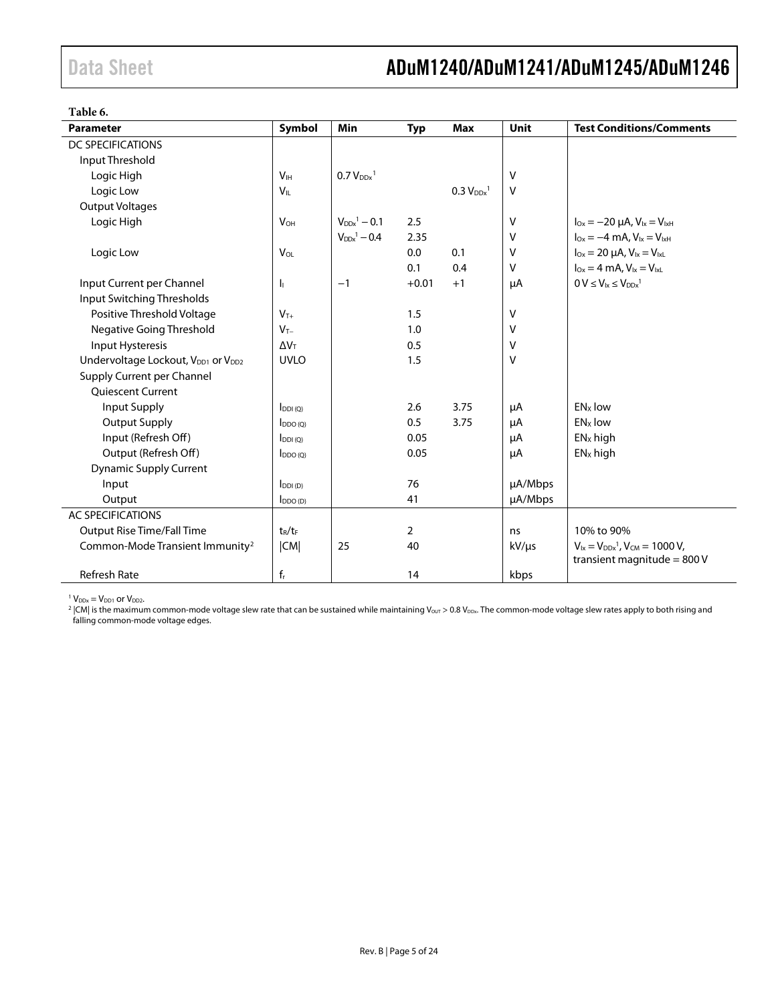<span id="page-4-0"></span>**Table 6.** 

| <b>Parameter</b>                                           | Symbol                  | Min                          | <b>Typ</b>     | <b>Max</b>                        | Unit       | <b>Test Conditions/Comments</b>                                            |
|------------------------------------------------------------|-------------------------|------------------------------|----------------|-----------------------------------|------------|----------------------------------------------------------------------------|
| <b>DC SPECIFICATIONS</b>                                   |                         |                              |                |                                   |            |                                                                            |
| Input Threshold                                            |                         |                              |                |                                   |            |                                                                            |
| Logic High                                                 | V <sub>IH</sub>         | $0.7 V_{DDx}$ <sup>1</sup>   |                |                                   | v          |                                                                            |
| Logic Low                                                  | $V_{IL}$                |                              |                | 0.3 V <sub>DDx</sub> <sup>1</sup> | ٧          |                                                                            |
| <b>Output Voltages</b>                                     |                         |                              |                |                                   |            |                                                                            |
| Logic High                                                 | <b>V<sub>OH</sub></b>   | $V_{DDx}$ <sup>1</sup> – 0.1 | 2.5            |                                   | ٧          | $I_{Ox} = -20 \mu A$ , $V_{1x} = V_{1xH}$                                  |
|                                                            |                         | $V_{DDx}$ <sup>1</sup> - 0.4 | 2.35           |                                   | V          | $I_{Ox} = -4$ mA, $V_{1x} = V_{1xH}$                                       |
| Logic Low                                                  | V <sub>OL</sub>         |                              | 0.0            | 0.1                               | v          | $I_{Ox} = 20 \mu A$ , $V_{Ix} = V_{IxL}$                                   |
|                                                            |                         |                              | 0.1            | 0.4                               | ٧          | $I_{Ox} = 4$ mA, $V_{1x} = V_{1xL}$                                        |
| Input Current per Channel                                  | h                       | $-1$                         | $+0.01$        | $+1$                              | μA         | $0 V \leq V_{1x} \leq V_{DDx}^{-1}$                                        |
| Input Switching Thresholds                                 |                         |                              |                |                                   |            |                                                                            |
| Positive Threshold Voltage                                 | $V_{T+}$                |                              | 1.5            |                                   | v          |                                                                            |
| <b>Negative Going Threshold</b>                            | $V_{T-}$                |                              | 1.0            |                                   | V          |                                                                            |
| Input Hysteresis                                           | $\Delta V_T$            |                              | 0.5            |                                   | V          |                                                                            |
| Undervoltage Lockout, V <sub>DD1</sub> or V <sub>DD2</sub> | <b>UVLO</b>             |                              | 1.5            |                                   | V          |                                                                            |
| Supply Current per Channel                                 |                         |                              |                |                                   |            |                                                                            |
| <b>Ouiescent Current</b>                                   |                         |                              |                |                                   |            |                                                                            |
| Input Supply                                               | $I_{DDI(O)}$            |                              | 2.6            | 3.75                              | μA         | EN <sub>x</sub> low                                                        |
| <b>Output Supply</b>                                       | $I_{DDO(Q)}$            |                              | 0.5            | 3.75                              | μA         | $ENx$ low                                                                  |
| Input (Refresh Off)                                        | $I_{DDI(O)}$            |                              | 0.05           |                                   | μA         | $ENx$ high                                                                 |
| Output (Refresh Off)                                       | $I_{DDO(Q)}$            |                              | 0.05           |                                   | μA         | $ENx$ high                                                                 |
| <b>Dynamic Supply Current</b>                              |                         |                              |                |                                   |            |                                                                            |
| Input                                                      | $I_{DDI(D)}$            |                              | 76             |                                   | µA/Mbps    |                                                                            |
| Output                                                     | $I_{DDO(D)}$            |                              | 41             |                                   | µA/Mbps    |                                                                            |
| <b>AC SPECIFICATIONS</b>                                   |                         |                              |                |                                   |            |                                                                            |
| <b>Output Rise Time/Fall Time</b>                          | $t_R/t_F$               |                              | $\overline{2}$ |                                   | ns         | 10% to 90%                                                                 |
| Common-Mode Transient Immunity <sup>2</sup>                | CM                      | 25                           | 40             |                                   | $kV/\mu s$ | $V_{1x} = V_{DDx}^1$ , $V_{CM} = 1000 V$ ,<br>transient magnitude = $800V$ |
| <b>Refresh Rate</b>                                        | $\mathsf{f}_\mathsf{r}$ |                              | 14             |                                   | kbps       |                                                                            |

 $1 V_{DDx} = V_{DD1}$  or  $V_{DD2}$ .

 $^2$  |CM| is the maximum common-mode voltage slew rate that can be sustained while maintaining V<sub>OUT</sub> > 0.8 V<sub>DDx</sub>. The common-mode voltage slew rates apply to both rising and falling common-mode voltage edges.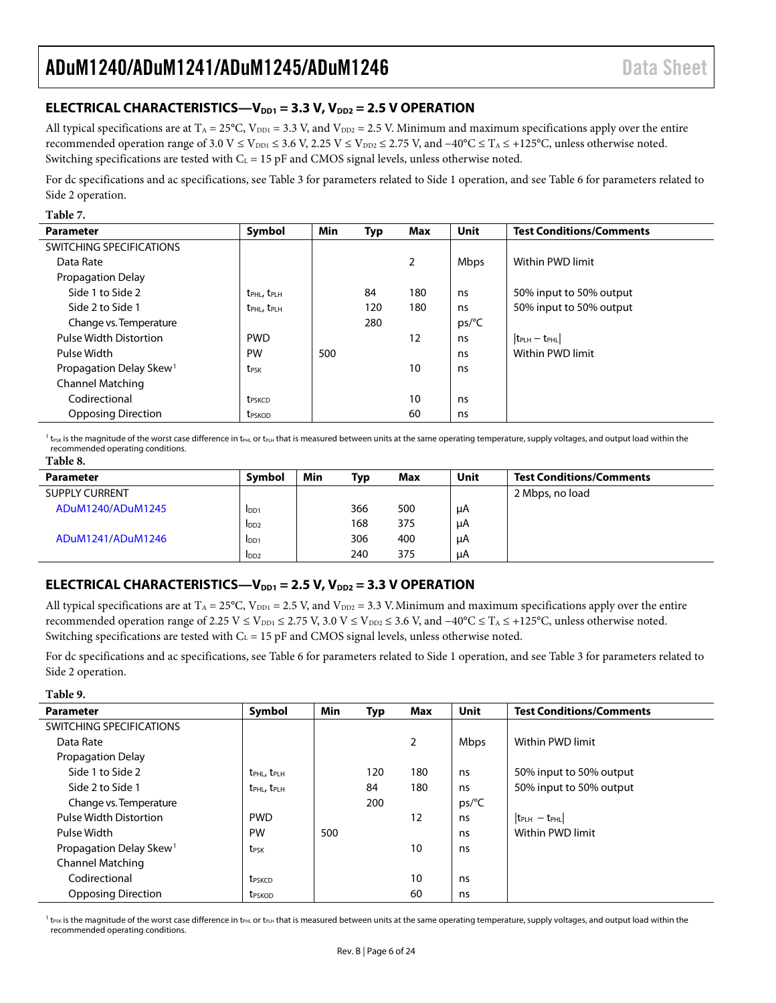### <span id="page-5-0"></span>**ELECTRICAL CHARACTERISTICS—V**<sub>DD1</sub> = 3.3 V, V<sub>DD2</sub> = 2.5 V OPERATION

All typical specifications are at  $T_A = 25^{\circ}C$ ,  $V_{\text{DD1}} = 3.3$  V, and  $V_{\text{DD2}} = 2.5$  V. Minimum and maximum specifications apply over the entire recommended operation range of 3.0 V ≤ V<sub>DD1</sub> ≤ 3.6 V, 2.25 V ≤ V<sub>DD2</sub> ≤ 2.75 V, and  $-40^{\circ}$ C ≤ T<sub>A</sub> ≤ +125<sup>o</sup>C, unless otherwise noted. Switching specifications are tested with  $C_L = 15$  pF and CMOS signal levels, unless otherwise noted.

For dc specifications and ac specifications, se[e Table 3](#page-2-2) for parameters related to Side 1 operation, and se[e Table 6](#page-4-0) for parameters related to Side 2 operation.

#### **Table 7.**

| <b>Parameter</b>                    | Symbol                              | Min | Typ | Max             | <b>Unit</b>    | <b>Test Conditions/Comments</b>     |
|-------------------------------------|-------------------------------------|-----|-----|-----------------|----------------|-------------------------------------|
| SWITCHING SPECIFICATIONS            |                                     |     |     |                 |                |                                     |
| Data Rate                           |                                     |     |     | $\overline{2}$  | Mbps           | Within PWD limit                    |
| <b>Propagation Delay</b>            |                                     |     |     |                 |                |                                     |
| Side 1 to Side 2                    | t <sub>PHL</sub> , t <sub>PLH</sub> |     | 84  | 180             | ns             | 50% input to 50% output             |
| Side 2 to Side 1                    | t <sub>PHL</sub> , t <sub>PLH</sub> |     | 120 | 180             | ns             | 50% input to 50% output             |
| Change vs. Temperature              |                                     |     | 280 |                 | $ps/^{\circ}C$ |                                     |
| Pulse Width Distortion              | <b>PWD</b>                          |     |     | 12              | ns             | $ t_{\text{PLH}} - t_{\text{PHL}} $ |
| Pulse Width                         | PW                                  | 500 |     |                 | ns             | Within PWD limit                    |
| Propagation Delay Skew <sup>1</sup> | <b>t</b> <sub>PSK</sub>             |     |     | 10 <sup>°</sup> | ns             |                                     |
| <b>Channel Matching</b>             |                                     |     |     |                 |                |                                     |
| Codirectional                       | <b>t</b> <sub>PSKCD</sub>           |     |     | 10              | ns             |                                     |
| <b>Opposing Direction</b>           | <b>t</b> <sub>PSKOD</sub>           |     |     | 60              | ns             |                                     |

 $^1$  t<sub>PSK</sub> is the magnitude of the worst case difference in t<sub>PHL</sub> or t<sub>PLH</sub> that is measured between units at the same operating temperature, supply voltages, and output load within the recommended operating conditions. **Table 8.** 

| <b>Parameter</b>      | Symbol           | Min | Typ | Max | Unit | <b>Test Conditions/Comments</b> |
|-----------------------|------------------|-----|-----|-----|------|---------------------------------|
| <b>SUPPLY CURRENT</b> |                  |     |     |     |      | 2 Mbps, no load                 |
| ADuM1240/ADuM1245     | I <sub>DD1</sub> |     | 366 | 500 | μA   |                                 |
|                       | I <sub>DD2</sub> |     | 168 | 375 | μA   |                                 |
| ADuM1241/ADuM1246     | I <sub>DD1</sub> |     | 306 | 400 | μA   |                                 |
|                       | I <sub>DD2</sub> |     | 240 | 375 | μA   |                                 |

### <span id="page-5-1"></span>**ELECTRICAL CHARACTERISTICS—V**<sub>DD1</sub> = 2.5 V, V<sub>DD2</sub> = 3.3 V OPERATION

All typical specifications are at  $T_A = 25^{\circ}\text{C}$ ,  $V_{\text{DD1}} = 2.5$  V, and  $V_{\text{DD2}} = 3.3$  V. Minimum and maximum specifications apply over the entire recommended operation range of 2.25 V ≤ V<sub>DD1</sub> ≤ 2.75 V, 3.0 V ≤ V<sub>DD2</sub> ≤ 3.6 V, and  $-40^{\circ}$ C ≤ T<sub>A</sub> ≤ +125<sup>o</sup>C, unless otherwise noted. Switching specifications are tested with  $C_L = 15$  pF and CMOS signal levels, unless otherwise noted.

For dc specifications and ac specifications, se[e Table 6](#page-4-0) for parameters related to Side 1 operation, and se[e Table 3](#page-2-2) for parameters related to Side 2 operation.

#### **Table 9.**

| <b>Parameter</b>                    | Symbol                              | Min | Typ | Max            | Unit           | <b>Test Conditions/Comments</b> |
|-------------------------------------|-------------------------------------|-----|-----|----------------|----------------|---------------------------------|
| SWITCHING SPECIFICATIONS            |                                     |     |     |                |                |                                 |
| Data Rate                           |                                     |     |     | $\overline{2}$ | <b>Mbps</b>    | Within PWD limit                |
| Propagation Delay                   |                                     |     |     |                |                |                                 |
| Side 1 to Side 2                    | $t_{\text{PHL}}$ , $t_{\text{PLH}}$ |     | 120 | 180            | ns             | 50% input to 50% output         |
| Side 2 to Side 1                    | $t_{\rm PHL}$ , $t_{\rm PHH}$       |     | 84  | 180            | ns             | 50% input to 50% output         |
| Change vs. Temperature              |                                     |     | 200 |                | $ps/^{\circ}C$ |                                 |
| Pulse Width Distortion              | <b>PWD</b>                          |     |     | 12             | ns             | $ t_{PLH} - t_{PHL} $           |
| Pulse Width                         | <b>PW</b>                           | 500 |     |                | ns             | Within PWD limit                |
| Propagation Delay Skew <sup>1</sup> | t <sub>PSK</sub>                    |     |     | 10             | ns             |                                 |
| <b>Channel Matching</b>             |                                     |     |     |                |                |                                 |
| Codirectional                       | t <sub>PSKCD</sub>                  |     |     | 10             | ns             |                                 |
| <b>Opposing Direction</b>           | t <sub>PSKOD</sub>                  |     |     | 60             | ns             |                                 |

 $^1$  t<sub>PSK</sub> is the magnitude of the worst case difference in t<sub>PHL</sub> or t<sub>PLH</sub> that is measured between units at the same operating temperature, supply voltages, and output load within the recommended operating conditions.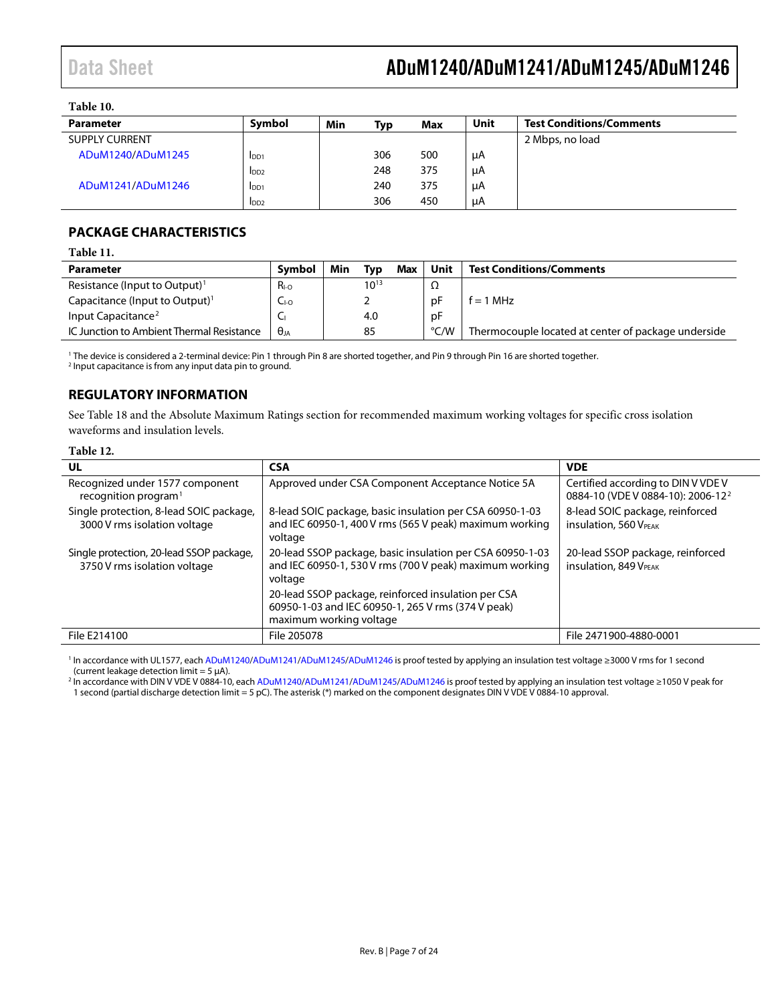#### **Table 10.**

| <b>Parameter</b>      | Symbol           | Min | Typ | Max | Unit | <b>Test Conditions/Comments</b> |
|-----------------------|------------------|-----|-----|-----|------|---------------------------------|
| <b>SUPPLY CURRENT</b> |                  |     |     |     |      | 2 Mbps, no load                 |
| ADuM1240/ADuM1245     | $_{\text{IDD1}}$ |     | 306 | 500 | μA   |                                 |
|                       | IDD2             |     | 248 | 375 | μA   |                                 |
| ADuM1241/ADuM1246     | I <sub>DD1</sub> |     | 240 | 375 | μA   |                                 |
|                       | I <sub>DD2</sub> |     | 306 | 450 | μA   |                                 |

### <span id="page-6-0"></span>**PACKAGE CHARACTERISTICS**

#### **Table 11.**

| Parameter                                  | Symbol      | Min | Tvp       | <b>Max</b> | Unit | <b>Test Conditions/Comments</b>                     |
|--------------------------------------------|-------------|-----|-----------|------------|------|-----------------------------------------------------|
| Resistance (Input to Output) <sup>1</sup>  | $R_{I-O}$   |     | $10^{13}$ |            | ▵    |                                                     |
| Capacitance (Input to Output) <sup>1</sup> | $C_{I-O}$   |     |           |            | рF   | $= 1 MHz$                                           |
| Input Capacitance <sup>2</sup>             |             |     | 4.0       |            | рF   |                                                     |
| IC Junction to Ambient Thermal Resistance  | $\Theta$ ia |     | 85        |            | °C/W | Thermocouple located at center of package underside |

<sup>1</sup> The device is considered a 2-terminal device: Pin 1 through Pin 8 are shorted together, and Pin 9 through Pin 16 are shorted together.

<sup>2</sup> Input capacitance is from any input data pin to ground.

### <span id="page-6-1"></span>**REGULATORY INFORMATION**

See [Table 18](#page-9-3) and the Absolute [Maximum Ratings](#page-9-0) section for recommended maximum working voltages for specific cross isolation waveforms and insulation levels.

#### **Table 12.**

| UL                                                                       | <b>CSA</b>                                                                                                                                                                                                                                   | <b>VDE</b>                                                                          |
|--------------------------------------------------------------------------|----------------------------------------------------------------------------------------------------------------------------------------------------------------------------------------------------------------------------------------------|-------------------------------------------------------------------------------------|
| Recognized under 1577 component<br>recognition program $1$               | Approved under CSA Component Acceptance Notice 5A                                                                                                                                                                                            | Certified according to DIN V VDE V<br>0884-10 (VDE V 0884-10): 2006-12 <sup>2</sup> |
| Single protection, 8-lead SOIC package,<br>3000 V rms isolation voltage  | 8-lead SOIC package, basic insulation per CSA 60950-1-03<br>and IEC 60950-1, 400 V rms (565 V peak) maximum working<br>voltage                                                                                                               | 8-lead SOIC package, reinforced<br><b>insulation, 560 VPEAK</b>                     |
| Single protection, 20-lead SSOP package,<br>3750 V rms isolation voltage | 20-lead SSOP package, basic insulation per CSA 60950-1-03<br>and IEC 60950-1, 530 V rms (700 V peak) maximum working<br>voltage<br>20-lead SSOP package, reinforced insulation per CSA<br>60950-1-03 and IEC 60950-1, 265 V rms (374 V peak) | 20-lead SSOP package, reinforced<br><b>insulation, 849 VPEAK</b>                    |
|                                                                          | maximum working voltage                                                                                                                                                                                                                      |                                                                                     |
| File E214100                                                             | File 205078                                                                                                                                                                                                                                  | File 2471900-4880-0001                                                              |

<span id="page-6-2"></span><sup>1</sup> In accordance with UL1577, eac[h ADuM1240](http://www.analog.com/ADuM1240?doc=ADuM1240_1241_1245_1246.pdf)[/ADuM1241](http://www.analog.com/ADuM1241?doc=ADuM1240_1241_1245_1246.pdf)[/ADuM1245/](http://www.analog.com/ADuM1245?doc=ADuM1240_1241_1245_1246.pdf)[ADuM1246](http://www.analog.com/ADuM1246?doc=ADuM1240_1241_1245_1246.pdf) is proof tested by applying an insulation test voltage ≥3000 V rms for 1 second (current leakage detection limit =  $5 \mu$ A).

<sup>2</sup> In accordance with DIN V VDE V 0884-10, eac[h ADuM1240](http://www.analog.com/ADuM1240?doc=ADuM1240_1241_1245_1246.pdf)[/ADuM1241](http://www.analog.com/ADuM1241?doc=ADuM1240_1241_1245_1246.pdf)[/ADuM1245/](http://www.analog.com/ADuM1245?doc=ADuM1240_1241_1245_1246.pdf)[ADuM1246](http://www.analog.com/ADuM1246?doc=ADuM1240_1241_1245_1246.pdf) is proof tested by applying an insulation test voltage ≥1050 V peak for 1 second (partial discharge detection limit = 5 pC). The asterisk (\*) marked on the component designates DIN V VDE V 0884-10 approval.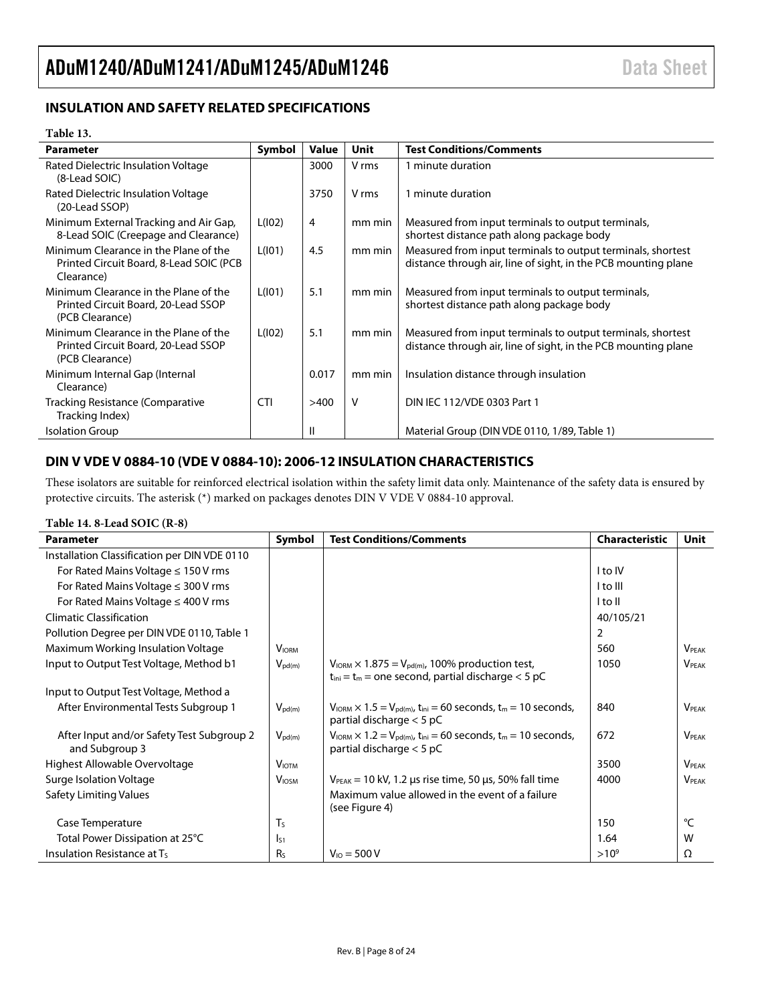### <span id="page-7-0"></span>**INSULATION AND SAFETY RELATED SPECIFICATIONS**

#### **Table 13.**

| <b>Parameter</b>                                                                                | Symbol     | Value | Unit   | <b>Test Conditions/Comments</b>                                                                                               |
|-------------------------------------------------------------------------------------------------|------------|-------|--------|-------------------------------------------------------------------------------------------------------------------------------|
| Rated Dielectric Insulation Voltage<br>(8-Lead SOIC)                                            |            | 3000  | V rms  | 1 minute duration                                                                                                             |
| Rated Dielectric Insulation Voltage<br>(20-Lead SSOP)                                           |            | 3750  | V rms  | 1 minute duration                                                                                                             |
| Minimum External Tracking and Air Gap,<br>8-Lead SOIC (Creepage and Clearance)                  | L(102)     | 4     | mm min | Measured from input terminals to output terminals,<br>shortest distance path along package body                               |
| Minimum Clearance in the Plane of the<br>Printed Circuit Board, 8-Lead SOIC (PCB)<br>Clearance) | L(101)     | 4.5   | mm min | Measured from input terminals to output terminals, shortest<br>distance through air, line of sight, in the PCB mounting plane |
| Minimum Clearance in the Plane of the<br>Printed Circuit Board, 20-Lead SSOP<br>(PCB Clearance) | L(101)     | 5.1   | mm min | Measured from input terminals to output terminals,<br>shortest distance path along package body                               |
| Minimum Clearance in the Plane of the<br>Printed Circuit Board, 20-Lead SSOP<br>(PCB Clearance) | L(102)     | 5.1   | mm min | Measured from input terminals to output terminals, shortest<br>distance through air, line of sight, in the PCB mounting plane |
| Minimum Internal Gap (Internal<br>Clearance)                                                    |            | 0.017 | mm min | Insulation distance through insulation                                                                                        |
| Tracking Resistance (Comparative<br>Tracking Index)                                             | <b>CTI</b> | >400  | v      | DIN IEC 112/VDE 0303 Part 1                                                                                                   |
| <b>Isolation Group</b>                                                                          |            | Ш     |        | Material Group (DIN VDE 0110, 1/89, Table 1)                                                                                  |

### <span id="page-7-1"></span>**DIN V VDE V 0884-10 (VDE V 0884-10): 2006-12 INSULATION CHARACTERISTICS**

These isolators are suitable for reinforced electrical isolation within the safety limit data only. Maintenance of the safety data is ensured by protective circuits. The asterisk (\*) marked on packages denotes DIN V VDE V 0884-10 approval.

#### **Table 14. 8-Lead SOIC (R-8)**

| <b>Parameter</b>                                            | Symbol                   | <b>Test Conditions/Comments</b>                                                                                                             | <b>Characteristic</b> | <b>Unit</b>              |
|-------------------------------------------------------------|--------------------------|---------------------------------------------------------------------------------------------------------------------------------------------|-----------------------|--------------------------|
| Installation Classification per DIN VDE 0110                |                          |                                                                                                                                             |                       |                          |
| For Rated Mains Voltage $\leq 150$ V rms                    |                          |                                                                                                                                             | I to IV               |                          |
| For Rated Mains Voltage $\leq$ 300 V rms                    |                          |                                                                                                                                             | I to III              |                          |
| For Rated Mains Voltage $\leq$ 400 V rms                    |                          |                                                                                                                                             | I to II               |                          |
| <b>Climatic Classification</b>                              |                          |                                                                                                                                             | 40/105/21             |                          |
| Pollution Degree per DIN VDE 0110, Table 1                  |                          |                                                                                                                                             | 2                     |                          |
| Maximum Working Insulation Voltage                          | <b>V</b> <sub>IORM</sub> |                                                                                                                                             | 560                   | <b>VPFAK</b>             |
| Input to Output Test Voltage, Method b1                     | $V_{\text{pd}(m)}$       | $V_{\text{IORM}} \times 1.875 = V_{\text{pd(m)}}$ , 100% production test,<br>$t_{\text{ini}} = t_m$ = one second, partial discharge < 5 pC  | 1050                  | $V_{\rm PFAK}$           |
| Input to Output Test Voltage, Method a                      |                          |                                                                                                                                             |                       |                          |
| After Environmental Tests Subgroup 1                        | $V_{pd(m)}$              | $V_{\text{IORM}} \times 1.5 = V_{\text{pd}(m)}$ , t <sub>ini</sub> = 60 seconds, t <sub>m</sub> = 10 seconds,<br>partial discharge < 5 pC   | 840                   | <b>VPFAK</b>             |
| After Input and/or Safety Test Subgroup 2<br>and Subgroup 3 | $V_{\text{pd}(m)}$       | $V_{\text{IORM}} \times 1.2 = V_{\text{pd}(m)}$ , t <sub>ini</sub> = 60 seconds, t <sub>m</sub> = 10 seconds,<br>partial discharge $<$ 5 pC | 672                   | <b>VPFAK</b>             |
| Highest Allowable Overvoltage                               | <b>VIOTM</b>             |                                                                                                                                             | 3500                  | <b>V</b> <sub>PEAK</sub> |
| Surge Isolation Voltage                                     | <b>V</b> <sub>IOSM</sub> | $V_{PEAK}$ = 10 kV, 1.2 µs rise time, 50 µs, 50% fall time                                                                                  | 4000                  | <b>VPFAK</b>             |
| <b>Safety Limiting Values</b>                               |                          | Maximum value allowed in the event of a failure<br>(see Figure 4)                                                                           |                       |                          |
| Case Temperature                                            | $T_S$                    |                                                                                                                                             | 150                   | °C                       |
| Total Power Dissipation at 25°C                             | Is <sub>1</sub>          |                                                                                                                                             | 1.64                  | W                        |
| Insulation Resistance at $T_s$                              | R <sub>S</sub>           | $V_{10} = 500 V$                                                                                                                            | $>10^{9}$             | Ω                        |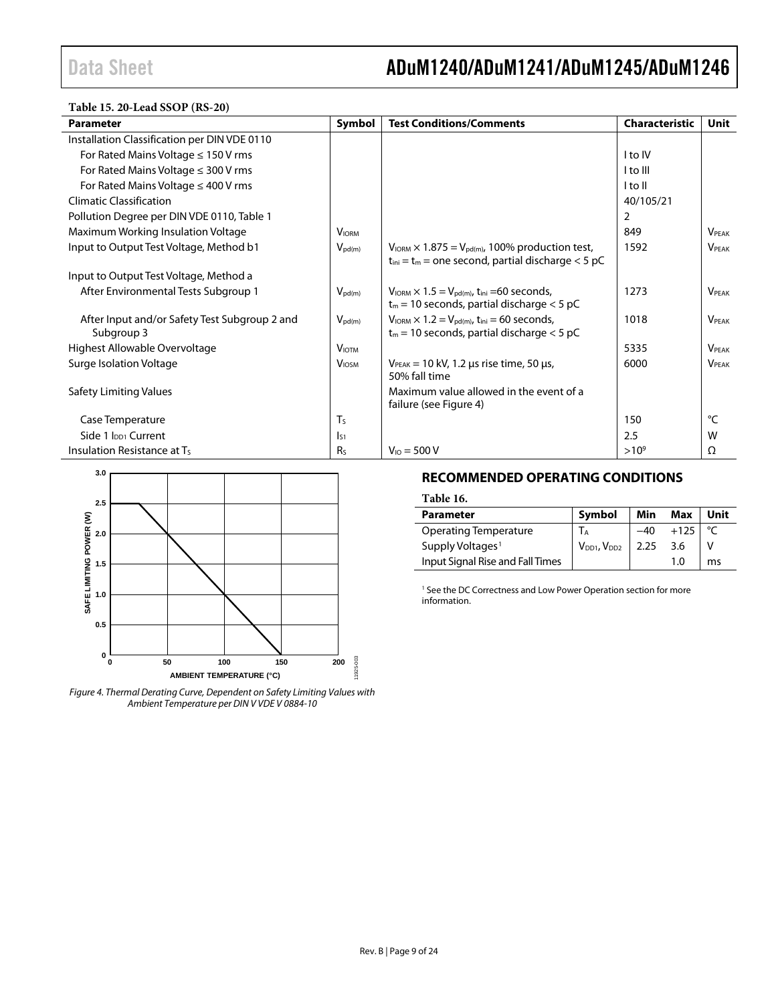**Table 15. 20-Lead SSOP (RS-20)** 

| <b>Parameter</b>                                            | Symbol             | <b>Test Conditions/Comments</b>                                                                                                  | <b>Characteristic</b> | Unit            |
|-------------------------------------------------------------|--------------------|----------------------------------------------------------------------------------------------------------------------------------|-----------------------|-----------------|
| Installation Classification per DIN VDE 0110                |                    |                                                                                                                                  |                       |                 |
| For Rated Mains Voltage $\leq 150$ V rms                    |                    |                                                                                                                                  | I to IV               |                 |
| For Rated Mains Voltage $\leq$ 300 V rms                    |                    |                                                                                                                                  | I to III              |                 |
| For Rated Mains Voltage $\leq$ 400 V rms                    |                    |                                                                                                                                  | l to II               |                 |
| <b>Climatic Classification</b>                              |                    |                                                                                                                                  | 40/105/21             |                 |
| Pollution Degree per DIN VDE 0110, Table 1                  |                    |                                                                                                                                  | 2                     |                 |
| Maximum Working Insulation Voltage                          | <b>VIORM</b>       |                                                                                                                                  | 849                   | <b>VPFAK</b>    |
| Input to Output Test Voltage, Method b1                     | $V_{\text{pd}(m)}$ | $V_{IORM} \times 1.875 = V_{pd(m)}$ , 100% production test,<br>$t_{ini} = t_m$ = one second, partial discharge < 5 pC            | 1592                  | <b>VPEAK</b>    |
| Input to Output Test Voltage, Method a                      |                    |                                                                                                                                  |                       |                 |
| After Environmental Tests Subgroup 1                        | $V_{\text{pd}(m)}$ | $V_{\text{IORM}} \times 1.5 = V_{\text{pd(m)}}$ , t <sub>ini</sub> =60 seconds,<br>$t_m$ = 10 seconds, partial discharge < 5 pC  | 1273                  | <b>VPFAK</b>    |
| After Input and/or Safety Test Subgroup 2 and<br>Subgroup 3 | $V_{\text{pd}(m)}$ | $V_{\text{IORM}} \times 1.2 = V_{\text{pd}(m)}$ , t <sub>ini</sub> = 60 seconds,<br>$t_m$ = 10 seconds, partial discharge < 5 pC | 1018                  | <b>VPFAK</b>    |
| Highest Allowable Overvoltage                               | V <sub>IOTM</sub>  |                                                                                                                                  | 5335                  | <b>VPEAK</b>    |
| Surge Isolation Voltage                                     | <b>VIOSM</b>       | $V_{PEAK}$ = 10 kV, 1.2 µs rise time, 50 µs,<br>50% fall time                                                                    | 6000                  | <b>VPEAK</b>    |
| Safety Limiting Values                                      |                    | Maximum value allowed in the event of a<br>failure (see Figure 4)                                                                |                       |                 |
| Case Temperature                                            | $T_S$              |                                                                                                                                  | 150                   | $\rm ^{\circ}C$ |
| Side 1 Ipp1 Current                                         | $I_{51}$           |                                                                                                                                  | 2.5                   | W               |
| Insulation Resistance at $T_s$                              | R <sub>s</sub>     | $V_{10} = 500 V$                                                                                                                 | $>10^{9}$             | Ω               |



<span id="page-8-1"></span><span id="page-8-0"></span>*Figure 4. Thermal Derating Curve, Dependent on Safety Limiting Values with Ambient Temperature per DIN V VDE V 0884-10*

### **RECOMMENDED OPERATING CONDITIONS**

#### **Table 16.**

| <b>Parameter</b>                 | Symbol                     | Min | Max    | Unit |
|----------------------------------|----------------------------|-----|--------|------|
| <b>Operating Temperature</b>     | <b>I</b> A                 |     | $+125$ |      |
| Supply Voltages <sup>1</sup>     | $V_{DD1}$ , $V_{DD2}$ 2.25 |     | 3.6    |      |
| Input Signal Rise and Fall Times |                            |     | 1.0    | ms   |

<sup>1</sup> See the DC Correctness and [Low Power Operation](#page-16-3) section for more information.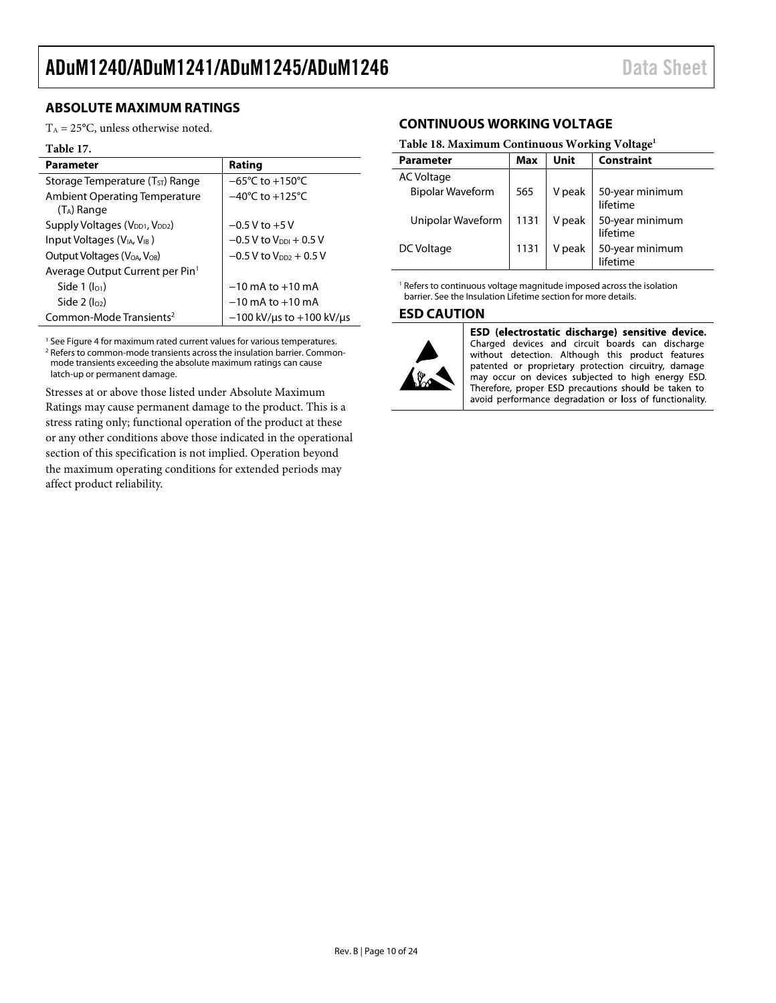### <span id="page-9-0"></span>**ABSOLUTE MAXIMUM RATINGS**

 $T_A = 25$ °C, unless otherwise noted.

#### **Table 17.**

| <b>Parameter</b>                                       | Rating                               |  |  |
|--------------------------------------------------------|--------------------------------------|--|--|
| Storage Temperature $(T_{ST})$ Range                   | $-65^{\circ}$ C to +150 $^{\circ}$ C |  |  |
| <b>Ambient Operating Temperature</b><br>$(T_A)$ Range  | $-40^{\circ}$ C to $+125^{\circ}$ C  |  |  |
| Supply Voltages (V <sub>DD1</sub> , V <sub>DD2</sub> ) | $-0.5$ V to $+5$ V                   |  |  |
| Input Voltages (V <sub>IA</sub> , V <sub>IB</sub> )    | $-0.5$ V to $V_{\text{DDI}} + 0.5$ V |  |  |
| Output Voltages (V <sub>OA</sub> , V <sub>OB</sub> )   | $-0.5$ V to V <sub>DD2</sub> + 0.5 V |  |  |
| Average Output Current per Pin <sup>1</sup>            |                                      |  |  |
| Side $1$ ( $I01$ )                                     | $-10$ mA to $+10$ mA                 |  |  |
| Side $2$ ( $log$ )                                     | $-10$ mA to $+10$ mA                 |  |  |
| Common-Mode Transients <sup>2</sup>                    | $-100$ kV/us to $+100$ kV/us         |  |  |

<sup>1</sup> Se[e Figure 4](#page-8-1) for maximum rated current values for various temperatures. <sup>2</sup> Refers to common-mode transients across the insulation barrier. Commonmode transients exceeding the absolute maximum ratings can cause latch-up or permanent damage.

<span id="page-9-1"></span>Stresses at or above those listed under Absolute Maximum Ratings may cause permanent damage to the product. This is a stress rating only; functional operation of the product at these or any other conditions above those indicated in the operational section of this specification is not implied. Operation beyond the maximum operating conditions for extended periods may affect product reliability.

### **CONTINUOUS WORKING VOLTAGE**

#### <span id="page-9-3"></span>**Table 18. Maximum Continuous Working Voltage1**

| <b>Parameter</b>        | <b>Max</b> | Unit   | <b>Constraint</b>           |
|-------------------------|------------|--------|-----------------------------|
| AC Voltage              |            |        |                             |
| <b>Bipolar Waveform</b> | 565        | V peak | 50-year minimum<br>lifetime |
| Unipolar Waveform       | 1131       | V peak | 50-year minimum<br>lifetime |
| DC Voltage              |            | V peak | 50-year minimum<br>lifetime |

<sup>1</sup> Refers to continuous voltage magnitude imposed across the isolation barrier. See th[e Insulation Lifetime](#page-18-1) section for more details.

#### <span id="page-9-2"></span>**ESD CAUTION**



ESD (electrostatic discharge) sensitive device. Charged devices and circuit boards can discharge without detection. Although this product features patented or proprietary protection circuitry, damage may occur on devices subjected to high energy ESD. Therefore, proper ESD precautions should be taken to avoid performance degradation or loss of functionality.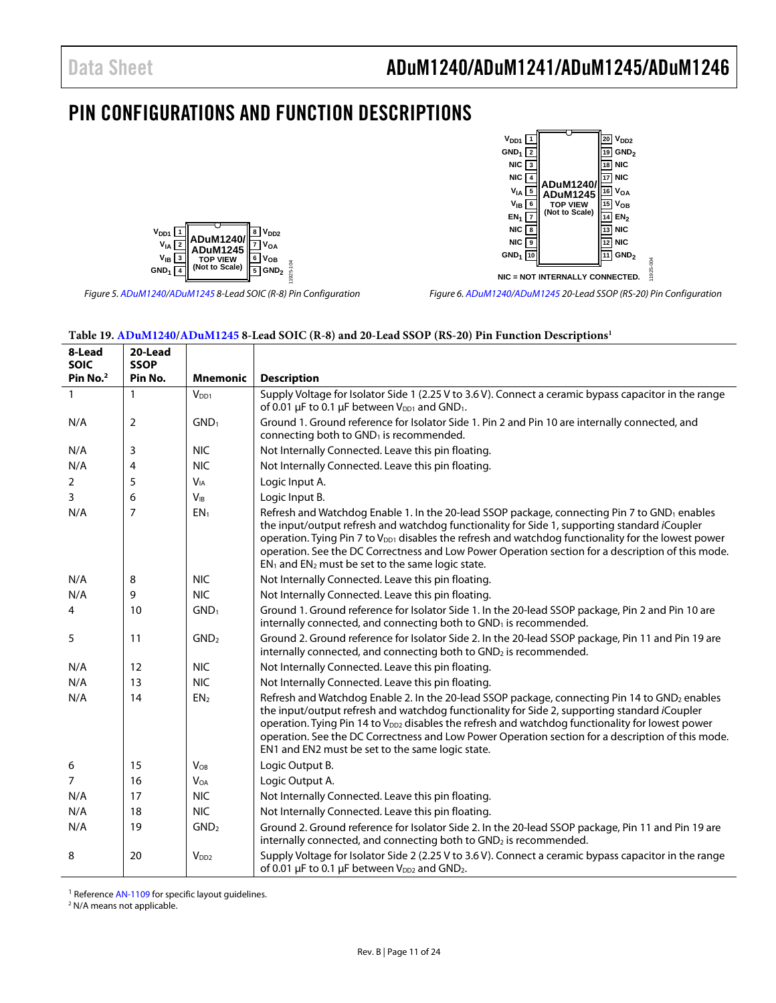$V_{DD1}$   $\boxed{1}$  $GND_1$   $\boxed{2}$  $NIC<sub>3</sub>$  $NIC<sub>4</sub>$ 

### <span id="page-10-0"></span>PIN CONFIGURATIONS AND FUNCTION DESCRIPTIONS



Figure 5[. ADuM1240/](http://www.analog.com/ADuM1240?doc=ADuM1240_1241_1245_1246.pdf)[ADuM1245 8](http://www.analog.com/ADuM1245?doc=ADuM1240_1241_1245_1246.pdf)-Lead SOIC (R-8) Pin Configuration

**NIC = NOT INTERNALLY CONNECTED.** Figure 6[. ADuM1240/](http://www.analog.com/ADuM1240?doc=ADuM1240_1241_1245_1246.pdf)[ADuM1245 2](http://www.analog.com/ADuM1245?doc=ADuM1240_1241_1245_1246.pdf)0-Lead SSOP (RS-20) Pin Configuration

**VIA <u>[5]</u> ADuM1245**  $\mathbb{L}^{\text{16}}$  VoA **V<sub>IB</sub> 6 15 V**<sub>OB</sub><br> **C I V**<sub>OB</sub> **C V**<sub>OB</sub> **C V**<sub>OB</sub> **C V**<sub>OB</sub> **EN<sub>1</sub>**  $\boxed{7}$  (Not to Scale)  $\boxed{14}$  **EN**<sub>2</sub> **NIC 8 13 NIC NIC 9 12 NIC GND<sub>1</sub> 10 11 GND**<sub>2</sub>

**ADuM1240/**

20 **V**<sub>DD2</sub>

**GND2 <sup>19</sup> 18 NIC 17 NIC**

11925-004

<span id="page-10-1"></span>

| 8-Lead<br><b>SOIC</b> | 20-Lead<br><b>SSOP</b> |                  |                                                                                                                                                                                                                                                                                                                                                                                                                                                                                          |
|-----------------------|------------------------|------------------|------------------------------------------------------------------------------------------------------------------------------------------------------------------------------------------------------------------------------------------------------------------------------------------------------------------------------------------------------------------------------------------------------------------------------------------------------------------------------------------|
| Pin No. <sup>2</sup>  | Pin No.                | <b>Mnemonic</b>  | <b>Description</b>                                                                                                                                                                                                                                                                                                                                                                                                                                                                       |
| 1                     | 1                      | V <sub>DD1</sub> | Supply Voltage for Isolator Side 1 (2.25 V to 3.6 V). Connect a ceramic bypass capacitor in the range<br>of 0.01 $\mu$ F to 0.1 $\mu$ F between V <sub>DD1</sub> and GND <sub>1</sub> .                                                                                                                                                                                                                                                                                                  |
| N/A                   | $\overline{2}$         | GND <sub>1</sub> | Ground 1. Ground reference for Isolator Side 1. Pin 2 and Pin 10 are internally connected, and<br>connecting both to GND <sub>1</sub> is recommended.                                                                                                                                                                                                                                                                                                                                    |
| N/A                   | 3                      | <b>NIC</b>       | Not Internally Connected. Leave this pin floating.                                                                                                                                                                                                                                                                                                                                                                                                                                       |
| N/A                   | 4                      | <b>NIC</b>       | Not Internally Connected. Leave this pin floating.                                                                                                                                                                                                                                                                                                                                                                                                                                       |
| 2                     | 5                      | $V_{IA}$         | Logic Input A.                                                                                                                                                                                                                                                                                                                                                                                                                                                                           |
| 3                     | 6                      | $V_{IB}$         | Logic Input B.                                                                                                                                                                                                                                                                                                                                                                                                                                                                           |
| N/A                   | 7                      | EN <sub>1</sub>  | Refresh and Watchdog Enable 1. In the 20-lead SSOP package, connecting Pin 7 to GND <sub>1</sub> enables<br>the input/output refresh and watchdog functionality for Side 1, supporting standard iCoupler<br>operation. Tying Pin 7 to V <sub>DD1</sub> disables the refresh and watchdog functionality for the lowest power<br>operation. See the DC Correctness and Low Power Operation section for a description of this mode.<br>$EN1$ and $EN2$ must be set to the same logic state. |
| N/A                   | 8                      | <b>NIC</b>       | Not Internally Connected. Leave this pin floating.                                                                                                                                                                                                                                                                                                                                                                                                                                       |
| N/A                   | 9                      | <b>NIC</b>       | Not Internally Connected. Leave this pin floating.                                                                                                                                                                                                                                                                                                                                                                                                                                       |
| 4                     | 10                     | GND <sub>1</sub> | Ground 1. Ground reference for Isolator Side 1. In the 20-lead SSOP package, Pin 2 and Pin 10 are<br>internally connected, and connecting both to GND <sub>1</sub> is recommended.                                                                                                                                                                                                                                                                                                       |
| 5                     | 11                     | GND <sub>2</sub> | Ground 2. Ground reference for Isolator Side 2. In the 20-lead SSOP package, Pin 11 and Pin 19 are<br>internally connected, and connecting both to GND <sub>2</sub> is recommended.                                                                                                                                                                                                                                                                                                      |
| N/A                   | 12                     | <b>NIC</b>       | Not Internally Connected. Leave this pin floating.                                                                                                                                                                                                                                                                                                                                                                                                                                       |
| N/A                   | 13                     | <b>NIC</b>       | Not Internally Connected. Leave this pin floating.                                                                                                                                                                                                                                                                                                                                                                                                                                       |
| N/A                   | 14                     | EN <sub>2</sub>  | Refresh and Watchdog Enable 2. In the 20-lead SSOP package, connecting Pin 14 to GND2 enables<br>the input/output refresh and watchdog functionality for Side 2, supporting standard iCoupler<br>operation. Tying Pin 14 to V <sub>DD2</sub> disables the refresh and watchdog functionality for lowest power<br>operation. See the DC Correctness and Low Power Operation section for a description of this mode.<br>EN1 and EN2 must be set to the same logic state.                   |
| 6                     | 15                     | $V_{OB}$         | Logic Output B.                                                                                                                                                                                                                                                                                                                                                                                                                                                                          |
| $\overline{7}$        | 16                     | <b>VOA</b>       | Logic Output A.                                                                                                                                                                                                                                                                                                                                                                                                                                                                          |
| N/A                   | 17                     | <b>NIC</b>       | Not Internally Connected. Leave this pin floating.                                                                                                                                                                                                                                                                                                                                                                                                                                       |
| N/A                   | 18                     | <b>NIC</b>       | Not Internally Connected. Leave this pin floating.                                                                                                                                                                                                                                                                                                                                                                                                                                       |
| N/A                   | 19                     | GND <sub>2</sub> | Ground 2. Ground reference for Isolator Side 2. In the 20-lead SSOP package, Pin 11 and Pin 19 are<br>internally connected, and connecting both to GND <sub>2</sub> is recommended.                                                                                                                                                                                                                                                                                                      |
| 8                     | 20                     | V <sub>DD2</sub> | Supply Voltage for Isolator Side 2 (2.25 V to 3.6 V). Connect a ceramic bypass capacitor in the range<br>of 0.01 $\mu$ F to 0.1 $\mu$ F between V <sub>DD2</sub> and GND <sub>2</sub> .                                                                                                                                                                                                                                                                                                  |

#### <span id="page-10-2"></span>**Table 19[. ADuM1240](http://www.analog.com/ADuM1240?doc=ADuM1240_1241_1245_1246.pdf)[/ADuM1245 8](http://www.analog.com/ADuM1245?doc=ADuM1240_1241_1245_1246.pdf)-Lead SOIC (R-8) and 20-Lead SSOP (RS-20) Pin Function Descriptions1**

<sup>1</sup> Reference [AN-1109](http://www.analog.com/AN-1109?doc=ADuM1240_1241_1245_1246.pdf) for specific layout guidelines.<br><sup>2</sup> N/A means not applicable

<sup>2</sup> N/A means not applicable.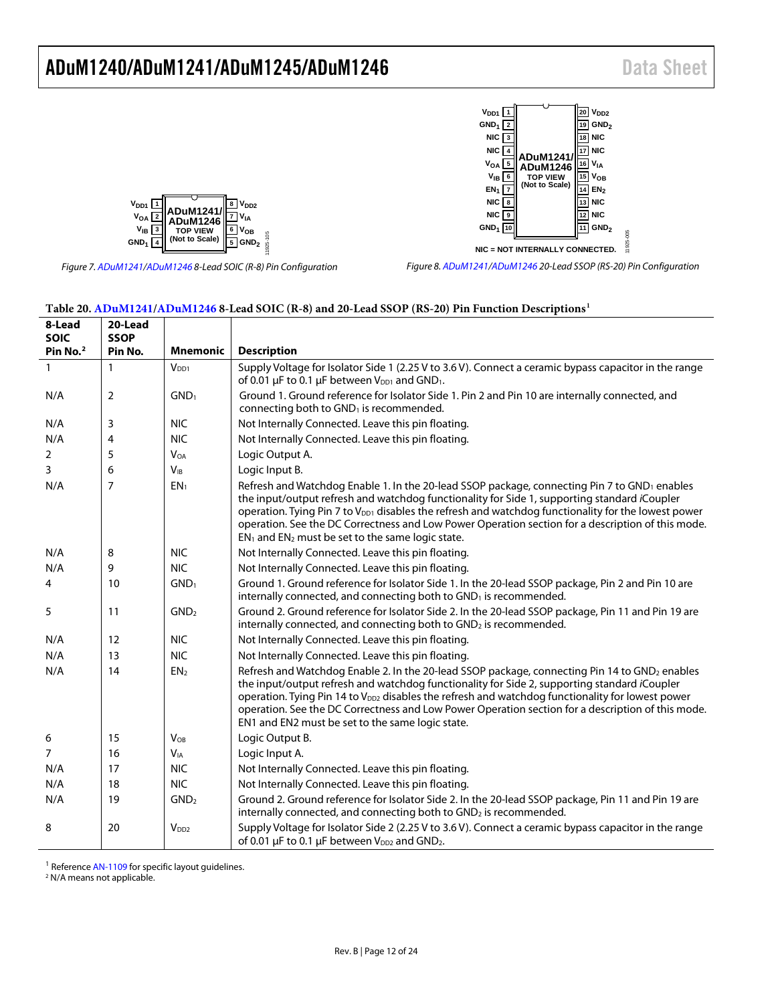11925-005





*Figure 7[. ADuM1241/](http://www.analog.com/ADuM1241?doc=ADuM1240_1241_1245_1246.pdf)[ADuM1246](http://www.analog.com/ADuM1246?doc=ADuM1240_1241_1245_1246.pdf) 8-Lead SOIC (R-8) Pin Configuration*

*Figure 8[. ADuM1241/](http://www.analog.com/ADuM1241?doc=ADuM1240_1241_1245_1246.pdf)[ADuM1246](http://www.analog.com/ADuM1246?doc=ADuM1240_1241_1245_1246.pdf) 20-Lead SSOP (RS-20) Pin Configuration*

#### <span id="page-11-1"></span>**Table 20[. ADuM1241](http://www.analog.com/ADuM1241?doc=ADuM1240_1241_1245_1246.pdf)[/ADuM1246](http://www.analog.com/ADuM1246?doc=ADuM1240_1241_1245_1246.pdf) 8-Lead SOIC (R-8) and 20-Lead SSOP (RS-20) Pin Function Descriptions1**

| 8-Lead<br><b>SOIC</b><br>Pin No. <sup>2</sup> | 20-Lead<br><b>SSOP</b><br>Pin No. | <b>Mnemonic</b>       | <b>Description</b>                                                                                                                                                                                                                                                                                                                                                                                                                                                                         |
|-----------------------------------------------|-----------------------------------|-----------------------|--------------------------------------------------------------------------------------------------------------------------------------------------------------------------------------------------------------------------------------------------------------------------------------------------------------------------------------------------------------------------------------------------------------------------------------------------------------------------------------------|
| $\mathbf{1}$                                  | 1                                 | V <sub>DD1</sub>      | Supply Voltage for Isolator Side 1 (2.25 V to 3.6 V). Connect a ceramic bypass capacitor in the range<br>of 0.01 µF to 0.1 µF between V <sub>DD1</sub> and GND <sub>1</sub> .                                                                                                                                                                                                                                                                                                              |
| N/A                                           | 2                                 | GND <sub>1</sub>      | Ground 1. Ground reference for Isolator Side 1. Pin 2 and Pin 10 are internally connected, and<br>connecting both to GND <sub>1</sub> is recommended.                                                                                                                                                                                                                                                                                                                                      |
| N/A                                           | 3                                 | <b>NIC</b>            | Not Internally Connected. Leave this pin floating.                                                                                                                                                                                                                                                                                                                                                                                                                                         |
| N/A                                           | 4                                 | <b>NIC</b>            | Not Internally Connected. Leave this pin floating.                                                                                                                                                                                                                                                                                                                                                                                                                                         |
| 2                                             | 5                                 | <b>VOA</b>            | Logic Output A.                                                                                                                                                                                                                                                                                                                                                                                                                                                                            |
| 3                                             | 6                                 | <b>V<sub>IB</sub></b> | Logic Input B.                                                                                                                                                                                                                                                                                                                                                                                                                                                                             |
| N/A                                           | 7                                 | EN <sub>1</sub>       | Refresh and Watchdog Enable 1. In the 20-lead SSOP package, connecting Pin 7 to GND <sub>1</sub> enables<br>the input/output refresh and watchdog functionality for Side 1, supporting standard iCoupler<br>operation. Tying Pin 7 to V <sub>DD1</sub> disables the refresh and watchdog functionality for the lowest power<br>operation. See the DC Correctness and Low Power Operation section for a description of this mode.<br>$EN_1$ and $EN_2$ must be set to the same logic state. |
| N/A                                           | 8                                 | <b>NIC</b>            | Not Internally Connected. Leave this pin floating.                                                                                                                                                                                                                                                                                                                                                                                                                                         |
| N/A                                           | 9                                 | <b>NIC</b>            | Not Internally Connected. Leave this pin floating.                                                                                                                                                                                                                                                                                                                                                                                                                                         |
| 4                                             | 10                                | GND <sub>1</sub>      | Ground 1. Ground reference for Isolator Side 1. In the 20-lead SSOP package, Pin 2 and Pin 10 are<br>internally connected, and connecting both to GND <sub>1</sub> is recommended.                                                                                                                                                                                                                                                                                                         |
| 5                                             | 11                                | GND <sub>2</sub>      | Ground 2. Ground reference for Isolator Side 2. In the 20-lead SSOP package, Pin 11 and Pin 19 are<br>internally connected, and connecting both to GND <sub>2</sub> is recommended.                                                                                                                                                                                                                                                                                                        |
| N/A                                           | 12                                | <b>NIC</b>            | Not Internally Connected. Leave this pin floating.                                                                                                                                                                                                                                                                                                                                                                                                                                         |
| N/A                                           | 13                                | <b>NIC</b>            | Not Internally Connected. Leave this pin floating.                                                                                                                                                                                                                                                                                                                                                                                                                                         |
| N/A                                           | 14                                | EN <sub>2</sub>       | Refresh and Watchdog Enable 2. In the 20-lead SSOP package, connecting Pin 14 to GND <sub>2</sub> enables<br>the input/output refresh and watchdog functionality for Side 2, supporting standard iCoupler<br>operation. Tying Pin 14 to V <sub>DD2</sub> disables the refresh and watchdog functionality for lowest power<br>operation. See the DC Correctness and Low Power Operation section for a description of this mode.<br>EN1 and EN2 must be set to the same logic state.         |
| 6                                             | 15                                | $V_{OB}$              | Logic Output B.                                                                                                                                                                                                                                                                                                                                                                                                                                                                            |
| 7                                             | 16                                | $V_{IA}$              | Logic Input A.                                                                                                                                                                                                                                                                                                                                                                                                                                                                             |
| N/A                                           | 17                                | <b>NIC</b>            | Not Internally Connected. Leave this pin floating.                                                                                                                                                                                                                                                                                                                                                                                                                                         |
| N/A                                           | 18                                | <b>NIC</b>            | Not Internally Connected. Leave this pin floating.                                                                                                                                                                                                                                                                                                                                                                                                                                         |
| N/A                                           | 19                                | GND <sub>2</sub>      | Ground 2. Ground reference for Isolator Side 2. In the 20-lead SSOP package, Pin 11 and Pin 19 are<br>internally connected, and connecting both to GND <sub>2</sub> is recommended.                                                                                                                                                                                                                                                                                                        |
| 8                                             | 20                                | $V_{DD2}$             | Supply Voltage for Isolator Side 2 (2.25 V to 3.6 V). Connect a ceramic bypass capacitor in the range<br>of 0.01 µF to 0.1 µF between V <sub>DD2</sub> and GND <sub>2</sub> .                                                                                                                                                                                                                                                                                                              |

<sup>1</sup> Re[f](http://www.analog.com/AN-1109?doc=ADuM1240_1241_1245_1246.pdf)erence AN-1109 for specific layout guidelines.<br><sup>2</sup> N/A means not applicable.

<span id="page-11-0"></span>

j.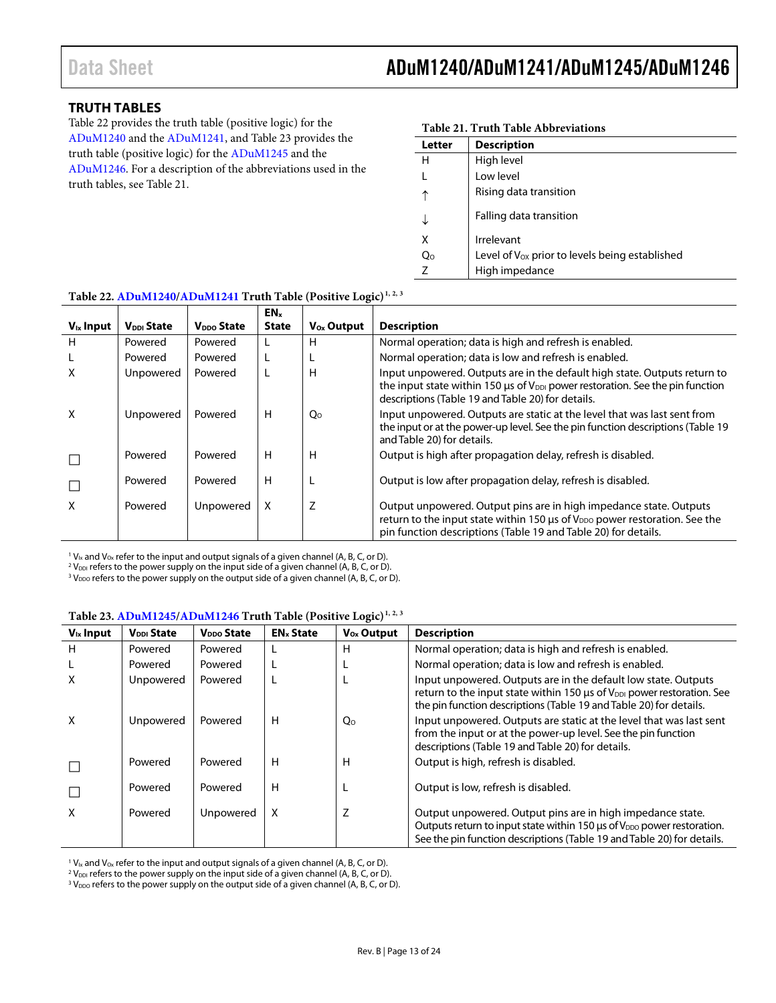### <span id="page-12-0"></span>**TRUTH TABLES**

[Table 22](#page-12-1) provides the truth table (positive logic) for the [ADuM1240](http://www.analog.com/ADuM1240?doc=ADuM1240_1241_1245_1246.pdf) and the [ADuM1241,](http://www.analog.com/ADuM1241?doc=ADuM1240_1241_1245_1246.pdf) an[d Table 23](#page-12-2) provides the truth table (positive logic) for the [ADuM1245](http://www.analog.com/ADuM1245?doc=ADuM1240_1241_1245_1246.pdf) and the [ADuM1246.](http://www.analog.com/ADuM1246?doc=ADuM1240_1241_1245_1246.pdf) For a description of the abbreviations used in the truth tables, se[e Table 21.](#page-12-3)

<span id="page-12-3"></span>

| Table 21. Truth Table Abbreviations |                                                     |  |  |  |  |
|-------------------------------------|-----------------------------------------------------|--|--|--|--|
| Letter                              | <b>Description</b>                                  |  |  |  |  |
| н                                   | High level                                          |  |  |  |  |
|                                     | Low level                                           |  |  |  |  |
| ↑                                   | Rising data transition                              |  |  |  |  |
|                                     | Falling data transition                             |  |  |  |  |
| Χ                                   | Irrelevant                                          |  |  |  |  |
| Q <sub>0</sub>                      | Level of $V_{OX}$ prior to levels being established |  |  |  |  |
| 7                                   | High impedance                                      |  |  |  |  |

| Table 22. ADUMT240/ADUMT241 Truth Table (Positive Logic) |                        |                        |                          |                     |                                                                                                                                                                                                                                  |  |  |
|----------------------------------------------------------|------------------------|------------------------|--------------------------|---------------------|----------------------------------------------------------------------------------------------------------------------------------------------------------------------------------------------------------------------------------|--|--|
| $V_{ix}$ Input                                           | V <sub>DDI</sub> State | V <sub>DDO</sub> State | EN <sub>x</sub><br>State | $V_{\rm Ox}$ Output | <b>Description</b>                                                                                                                                                                                                               |  |  |
| H                                                        | Powered                | Powered                |                          | н                   | Normal operation; data is high and refresh is enabled.                                                                                                                                                                           |  |  |
|                                                          | Powered                | Powered                |                          |                     | Normal operation; data is low and refresh is enabled.                                                                                                                                                                            |  |  |
| х                                                        | Unpowered              | Powered                |                          | н                   | Input unpowered. Outputs are in the default high state. Outputs return to<br>the input state within 150 $\mu$ s of V <sub>DDI</sub> power restoration. See the pin function<br>descriptions (Table 19 and Table 20) for details. |  |  |
| X                                                        | Unpowered              | Powered                | H                        | Qo                  | Input unpowered. Outputs are static at the level that was last sent from<br>the input or at the power-up level. See the pin function descriptions (Table 19)<br>and Table 20) for details.                                       |  |  |
|                                                          | Powered                | Powered                | H                        | н                   | Output is high after propagation delay, refresh is disabled.                                                                                                                                                                     |  |  |
|                                                          | Powered                | Powered                | H                        |                     | Output is low after propagation delay, refresh is disabled.                                                                                                                                                                      |  |  |
| X                                                        | Powered                | Unpowered              | X                        | Z                   | Output unpowered. Output pins are in high impedance state. Outputs<br>return to the input state within 150 us of V <sub>DDO</sub> power restoration. See the<br>pin function descriptions (Table 19 and Table 20) for details.   |  |  |

<span id="page-12-1"></span>**Table 22[. ADuM1240](http://www.analog.com/ADuM1240?doc=ADuM1240_1241_1245_1246.pdf)[/ADuM1241](http://www.analog.com/ADuM1241?doc=ADuM1240_1241_1245_1246.pdf) Truth Table (Positive Logic)1, 2, 3**

 $1$  V<sub>Ix</sub> and V<sub>Ox</sub> refer to the input and output signals of a given channel (A, B, C, or D).

<sup>2</sup> V<sub>DDI</sub> refers to the power supply on the input side of a given channel (A, B, C, or D).

 $3$  V<sub>DDO</sub> refers to the power supply on the output side of a given channel (A, B, C, or D).

<span id="page-12-2"></span>

| $V_{ix}$ Input | V <sub>DDI</sub> State | V <sub>DDO</sub> State | <b>EN<sub>x</sub></b> State | $V_{0x}$ Output                                       | <b>Description</b>                                                                                                                                                                                                         |  |  |  |
|----------------|------------------------|------------------------|-----------------------------|-------------------------------------------------------|----------------------------------------------------------------------------------------------------------------------------------------------------------------------------------------------------------------------------|--|--|--|
| H              | Powered                | Powered                |                             | н                                                     | Normal operation; data is high and refresh is enabled.                                                                                                                                                                     |  |  |  |
|                | Powered                | Powered                |                             | Normal operation; data is low and refresh is enabled. |                                                                                                                                                                                                                            |  |  |  |
| X              | Unpowered              | Powered                |                             |                                                       | Input unpowered. Outputs are in the default low state. Outputs<br>return to the input state within 150 $\mu$ s of $V_{DD}$ power restoration. See<br>the pin function descriptions (Table 19 and Table 20) for details.    |  |  |  |
| X              | Unpowered              | Powered                | н                           | $Q_0$                                                 | Input unpowered. Outputs are static at the level that was last sent<br>from the input or at the power-up level. See the pin function<br>descriptions (Table 19 and Table 20) for details.                                  |  |  |  |
|                | Powered                | Powered                | н                           | н                                                     | Output is high, refresh is disabled.                                                                                                                                                                                       |  |  |  |
|                | Powered                | Powered                | н                           |                                                       | Output is low, refresh is disabled.                                                                                                                                                                                        |  |  |  |
| X              | Powered                | Unpowered              | X                           | Z                                                     | Output unpowered. Output pins are in high impedance state.<br>Outputs return to input state within 150 µs of V <sub>DDO</sub> power restoration.<br>See the pin function descriptions (Table 19 and Table 20) for details. |  |  |  |

 $1$  V<sub>Ix</sub> and V<sub>Ox</sub> refer to the input and output signals of a given channel (A, B, C, or D).

 $2$  V<sub>DDI</sub> refers to the power supply on the input side of a given channel (A, B, C, or D).

 $3$  V<sub>DDO</sub> refers to the power supply on the output side of a given channel (A, B, C, or D).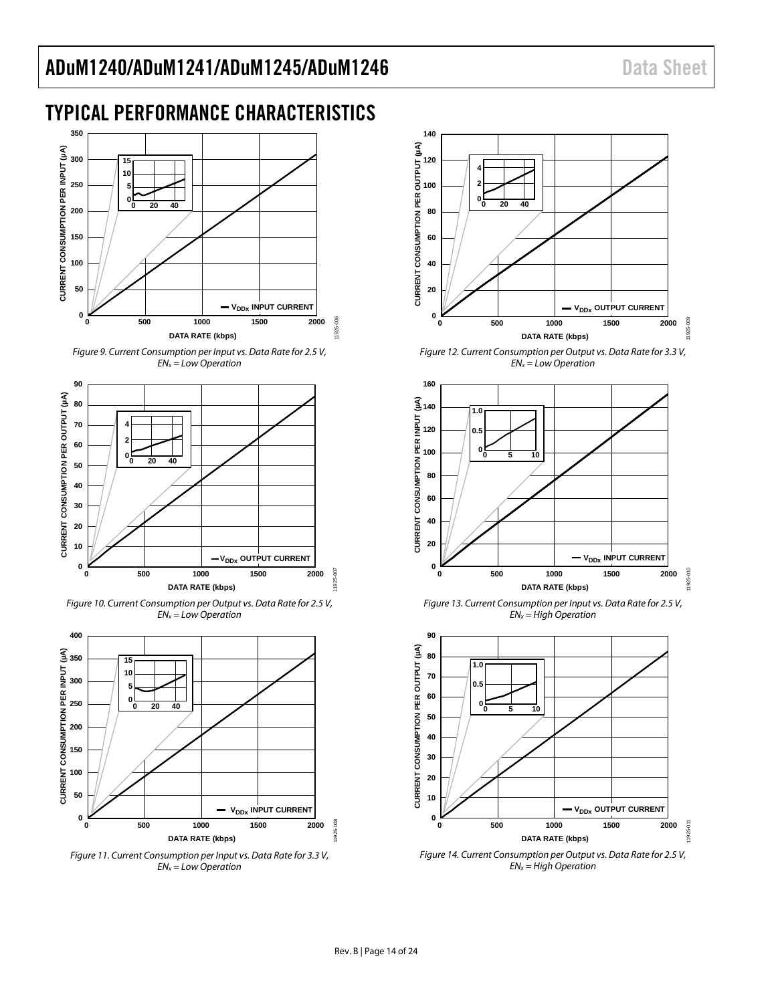### <span id="page-13-0"></span>TYPICAL PERFORMANCE CHARACTERISTICS



<span id="page-13-1"></span>



*Figure 10. Current Consumption per Output vs. Data Rate for 2.5 V, ENx = Low Operation* 



*Figure 11. Current Consumption per Input vs. Data Rate for 3.3 V, ENx = Low Operation* 



*Figure 12. Current Consumption per Output vs. Data Rate for 3.3 V, ENx = Low Operation* 



*Figure 13. Current Consumption per Input vs. Data Rate for 2.5 V, ENx = High Operation* 



*Figure 14. Current Consumption per Output vs. Data Rate for 2.5 V, ENx = High Operation*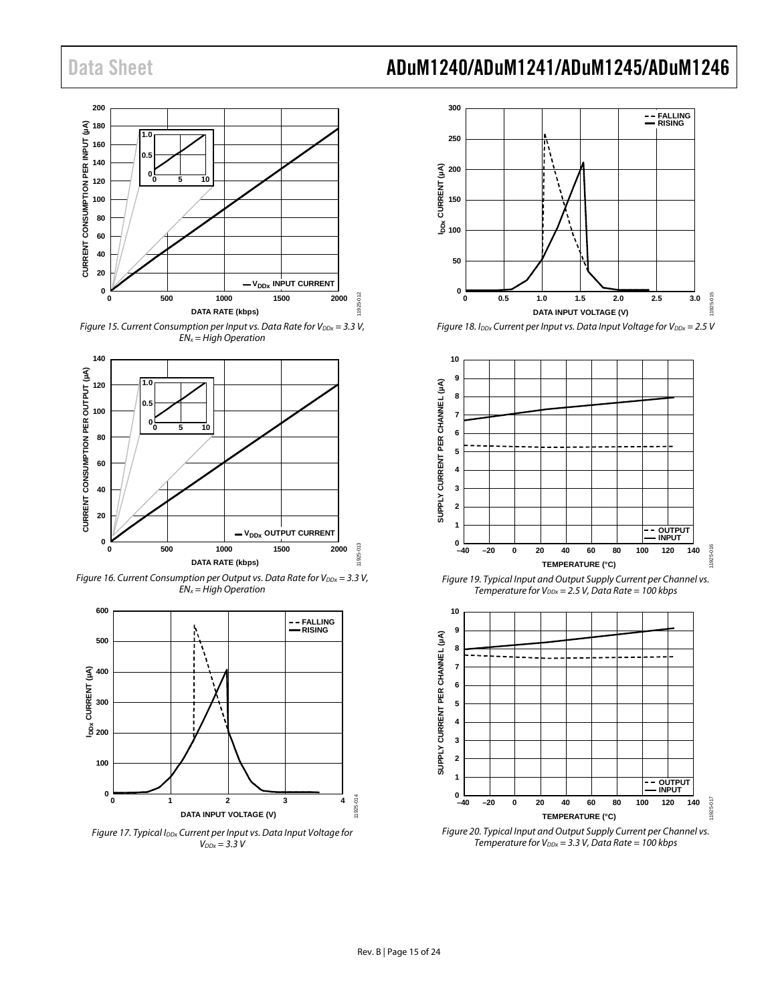

Figure 15. Current Consumption per Input vs. Data Rate for  $V_{DDx} = 3.3 V$ ,  $EN_x = High\ Operator$ 



<span id="page-14-4"></span>Figure 16. Current Consumption per Output vs. Data Rate for  $V_{DDx} = 3.3 V$ ,  $EN_x = High Operation$ 

<span id="page-14-1"></span><span id="page-14-0"></span>

<span id="page-14-2"></span>Figure 17. Typical I<sub>DDx</sub> Current per Input vs. Data Input Voltage for  $V_{DDx} = 3.3 V$ 



<span id="page-14-3"></span>Figure 18. I<sub>DDx</sub> Current per Input vs. Data Input Voltage for V<sub>DDx</sub> = 2.5 V



<span id="page-14-5"></span>Figure 19. Typical Input and Output Supply Current per Channel vs. Temperature for  $V_{\text{DDx}} = 2.5 V$ , Data Rate = 100 kbps



<span id="page-14-6"></span>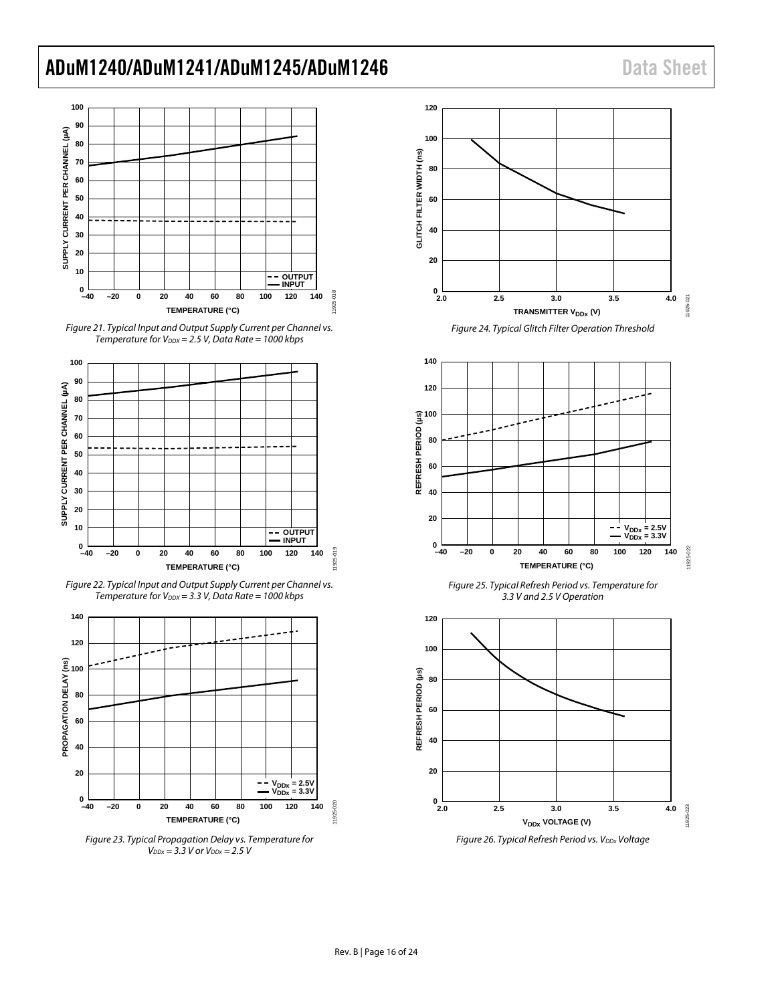

<span id="page-15-0"></span>Figure 21. Typical Input and Output Supply Current per Channel vs. Temperature for  $V_{DDX} = 2.5 V$ , Data Rate = 1000 kbps



Figure 22. Typical Input and Output Supply Current per Channel vs. Temperature for  $V_{DDX} = 3.3$  V, Data Rate = 1000 kbps



Figure 23. Typical Propagation Delay vs. Temperature for  $V_{DDx} = 3.3 V$  or  $V_{DDx} = 2.5 V$ 





Figure 25. Typical Refresh Period vs. Temperature for 3.3 V and 2.5 V Operation



Figure 26. Typical Refresh Period vs. V<sub>DDx</sub> Voltage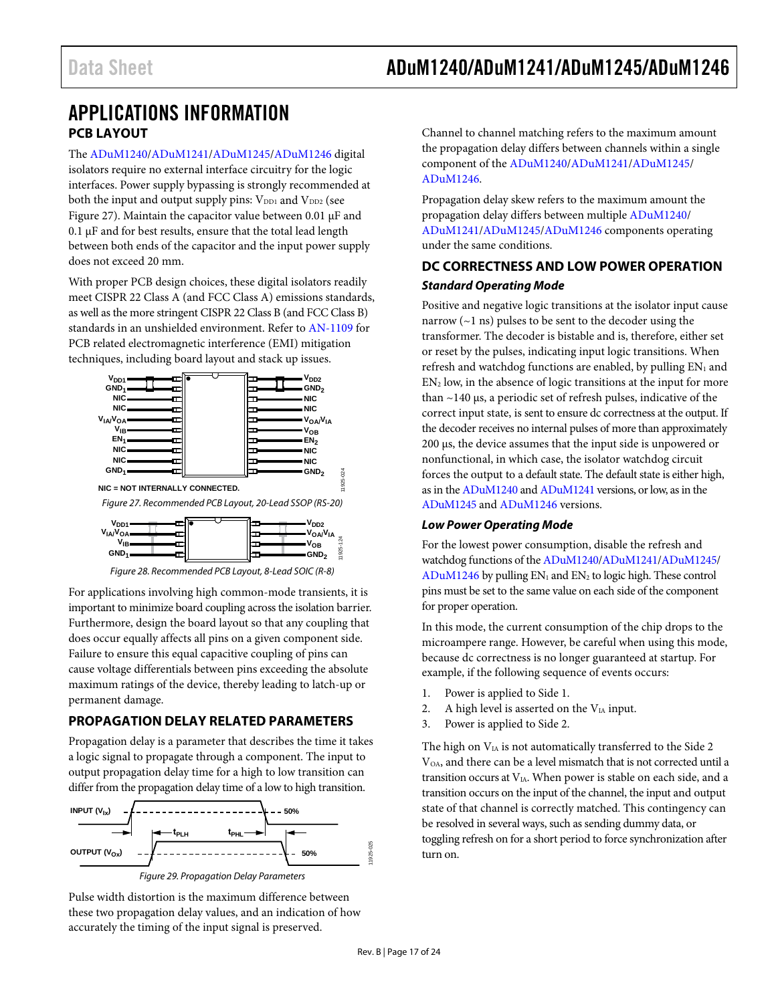### <span id="page-16-1"></span><span id="page-16-0"></span>APPLICATIONS INFORMATION **PCB LAYOUT**

The [ADuM1240/](http://www.analog.com/ADuM1240?doc=ADuM1240_1241_1245_1246.pdf)[ADuM1241/](http://www.analog.com/ADuM1241?doc=ADuM1240_1241_1245_1246.pdf)[ADuM1245/](http://www.analog.com/ADuM1245?doc=ADuM1240_1241_1245_1246.pdf)[ADuM1246 d](http://www.analog.com/ADuM1246?doc=ADuM1240_1241_1245_1246.pdf)igital isolators require no external interface circuitry for the logic interfaces. Power supply bypassing is strongly recommended at both the input and output supply pins:  $V_{DD1}$  and  $V_{DD2}$  (see [Figure 27\)](#page-16-4). Maintain the capacitor value between 0.01 μF and 0.1 μF and for best results, ensure that the total lead length between both ends of the capacitor and the input power supply does not exceed 20 mm.

With proper PCB design choices, these digital isolators readily meet CISPR 22 Class A (and FCC Class A) emissions standards, as well as the more stringent CISPR 22 Class B (and FCC Class B) standards in an unshielded environment. Refer t[o AN-1109 f](http://www.analog.com/AN-1109?doc=ADuM1240_1241_1245_1246.pdf)or PCB related electromagnetic interference (EMI) mitigation techniques, including board layout and stack up issues.



<span id="page-16-4"></span>Figure 28. Recommended PCB Layout, 8-Lead SOIC (R-8)

For applications involving high common-mode transients, it is important to minimize board coupling across the isolation barrier. Furthermore, design the board layout so that any coupling that does occur equally affects all pins on a given component side. Failure to ensure this equal capacitive coupling of pins can cause voltage differentials between pins exceeding the absolute maximum ratings of the device, thereby leading to latch-up or permanent damage.

### <span id="page-16-2"></span>**PROPAGATION DELAY RELATED PARAMETERS**

Propagation delay is a parameter that describes the time it takes a logic signal to propagate through a component. The input to output propagation delay time for a high to low transition can differ from the propagation delay time of a low to high transition.



Pulse width distortion is the maximum difference between these two propagation delay values, and an indication of how accurately the timing of the input signal is preserved.

Channel to channel matching refers to the maximum amount the propagation delay differs between channels within a single component of th[e ADuM1240/](http://www.analog.com/ADuM1240?doc=ADuM1240_1241_1245_1246.pdf)[ADuM1241](http://www.analog.com/ADuM1241?doc=ADuM1240_1241_1245_1246.pdf)[/ADuM1245/](http://www.analog.com/ADuM1245?doc=ADuM1240_1241_1245_1246.pdf) [ADuM1246.](http://www.analog.com/ADuM1246?doc=ADuM1240_1241_1245_1246.pdf) 

Propagation delay skew refers to the maximum amount the propagation delay differs between multiple [ADuM1240/](http://www.analog.com/ADuM1240?doc=ADuM1240_1241_1245_1246.pdf) [ADuM1241/](http://www.analog.com/ADuM1241?doc=ADuM1240_1241_1245_1246.pdf)[ADuM1245/](http://www.analog.com/ADuM1245?doc=ADuM1240_1241_1245_1246.pdf)[ADuM1246](http://www.analog.com/ADuM1246?doc=ADuM1240_1241_1245_1246.pdf) components operating under the same conditions.

### <span id="page-16-3"></span>**DC CORRECTNESS AND LOW POWER OPERATION Standard Operating Mode**

Positive and negative logic transitions at the isolator input cause narrow  $(-1 \text{ ns})$  pulses to be sent to the decoder using the transformer. The decoder is bistable and is, therefore, either set or reset by the pulses, indicating input logic transitions. When refresh and watchdog functions are enabled, by pulling  $EN<sub>1</sub>$  and EN2 low, in the absence of logic transitions at the input for more than ~140 μs, a periodic set of refresh pulses, indicative of the correct input state, is sent to ensure dc correctness at the output. If the decoder receives no internal pulses of more than approximately 200 μs, the device assumes that the input side is unpowered or nonfunctional, in which case, the isolator watchdog circuit forces the output to a default state. The default state is either high, as in th[e ADuM1240 a](http://www.analog.com/ADuM1240?doc=ADuM1240_1241_1245_1446.pdf)n[d ADuM1241 v](http://www.analog.com/ADuM1241?doc=ADuM1240_1241_1245_1246.pdf)ersions, or low, as in the [ADuM1245](http://www.analog.com/ADuM1245?doc=ADuM1240_1241_1245_1246.pdf) an[d ADuM1246 v](http://www.analog.com/ADuM1246?doc=ADuM1240_1241_1245_1246.pdf)ersions.

#### **Low Power Operating Mode**

For the lowest power consumption, disable the refresh and watchdog functions of th[e ADuM1240/](http://www.analog.com/ADuM1240?doc=ADuM1240_1241_1245_1246.pdf)[ADuM1241](http://www.analog.com/ADuM1241?doc=ADuM1240_1241_1245_1246.pdf)[/ADuM1245/](http://www.analog.com/ADuM1245?doc=ADuM1240_1241_1245_1246.pdf)  $ADuM1246$  by pulling  $EN_1$  and  $EN_2$  to logic high. These control pins must be set to the same value on each side of the component for proper operation.

In this mode, the current consumption of the chip drops to the microampere range. However, be careful when using this mode, because dc correctness is no longer guaranteed at startup. For example, if the following sequence of events occurs:

- 1. Power is applied to Side 1.
- 2. A high level is asserted on the  $V<sub>IA</sub>$  input.
- 3. Power is applied to Side 2.

The high on  $V_{IA}$  is not automatically transferred to the Side 2 V<sub>OA</sub>, and there can be a level mismatch that is not corrected until a transition occurs at VIA. When power is stable on each side, and a transition occurs on the input of the channel, the input and output state of that channel is correctly matched. This contingency can be resolved in several ways, such as sending dummy data, or toggling refresh on for a short period to force synchronization after turn on.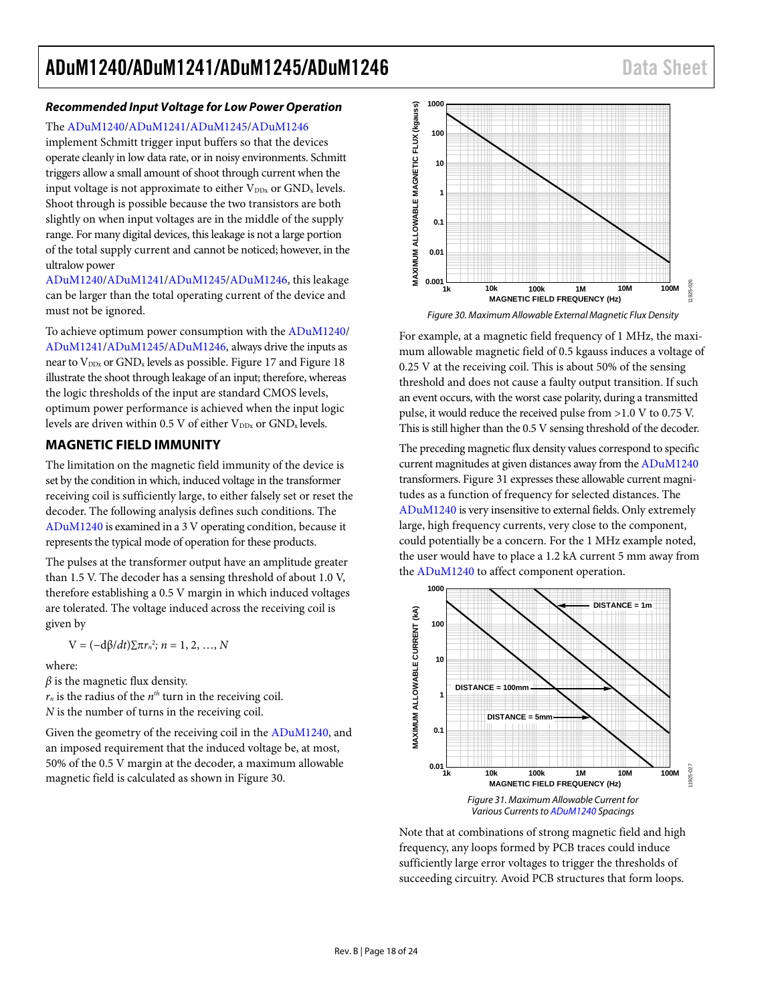#### *Recommended Input Voltage for Low Power Operation*

The [ADuM1240/](http://www.analog.com/ADuM1240?doc=ADuM1240_1241_1245_1246.pdf)[ADuM1241/](http://www.analog.com/ADuM1241?doc=ADuM1240_1241_1245_1246.pdf)[ADuM1245/](http://www.analog.com/ADuM1245?doc=ADuM1240_1241_1245_1246.pdf)[ADuM1246](http://www.analog.com/ADuM1246?doc=ADuM1240_1241_1245_1246.pdf)

implement Schmitt trigger input buffers so that the devices operate cleanly in low data rate, or in noisy environments. Schmitt triggers allow a small amount of shoot through current when the input voltage is not approximate to either  $V_{DDx}$  or  $GND_x$  levels. Shoot through is possible because the two transistors are both slightly on when input voltages are in the middle of the supply range. For many digital devices, this leakage is not a large portion of the total supply current and cannot be noticed; however, in the ultralow power

[ADuM1240/](http://www.analog.com/ADuM1240?doc=ADuM1240_1241_1245_1246.pdf)[ADuM1241/](http://www.analog.com/ADuM1241?doc=ADuM1240_1241_1245_1246.pdf)[ADuM1245/](http://www.analog.com/ADuM1245?doc=ADuM1240_1241_1245_1246.pdf)[ADuM1246,](http://www.analog.com/ADuM1246?doc=ADuM1240_1241_1245_1246.pdf) this leakage can be larger than the total operating current of the device and must not be ignored.

To achieve optimum power consumption with th[e ADuM1240/](http://www.analog.com/ADuM1240?doc=ADuM1240_1241_1245_1246.pdf) [ADuM1241/](http://www.analog.com/ADuM1241?doc=ADuM1240_1241_1245_1246.pdf)[ADuM1245/](http://www.analog.com/ADuM1245?doc=ADuM1240_1241_1245_1246.pdf)[ADuM1246,](http://www.analog.com/ADuM1246?doc=ADuM1240_1241_1245_1246.pdf) always drive the inputs as near to  $V_{\text{DDx}}$  or  $\text{GND}_x$  levels as possible[. Figure 17](#page-14-2) an[d Figure 18](#page-14-3) illustrate the shoot through leakage of an input; therefore, whereas the logic thresholds of the input are standard CMOS levels, optimum power performance is achieved when the input logic levels are driven within 0.5 V of either  $V_{\text{DDx}}$  or  $\text{GND}_x$  levels.

#### <span id="page-17-0"></span>**MAGNETIC FIELD IMMUNITY**

The limitation on the magnetic field immunity of the device is set by the condition in which, induced voltage in the transformer receiving coil is sufficiently large, to either falsely set or reset the decoder. The following analysis defines such conditions. The [ADuM1240](http://www.analog.com/ADuM1240?doc=ADuM1240_1241_1245_1246.pdf) is examined in a 3 V operating condition, because it represents the typical mode of operation for these products.

The pulses at the transformer output have an amplitude greater than 1.5 V. The decoder has a sensing threshold of about 1.0 V, therefore establishing a 0.5 V margin in which induced voltages are tolerated. The voltage induced across the receiving coil is given by

$$
V = (-d\beta/dt)\sum \pi r_n^2
$$
;  $n = 1, 2, ..., N$ 

where:

 $\beta$  is the magnetic flux density.

 $r_n$  is the radius of the  $n^{th}$  turn in the receiving coil. *N* is the number of turns in the receiving coil.

Given the geometry of the receiving coil in the [ADuM1240,](http://www.analog.com/ADuM1240?doc=ADuM1240_1241_1245_1246.pdf) and an imposed requirement that the induced voltage be, at most, 50% of the 0.5 V margin at the decoder, a maximum allowable magnetic field is calculated as shown i[n Figure 30.](#page-17-1)



*Figure 30. Maximum Allowable External Magnetic Flux Density*

<span id="page-17-1"></span>For example, at a magnetic field frequency of 1 MHz, the maximum allowable magnetic field of 0.5 kgauss induces a voltage of 0.25 V at the receiving coil. This is about 50% of the sensing threshold and does not cause a faulty output transition. If such an event occurs, with the worst case polarity, during a transmitted pulse, it would reduce the received pulse from >1.0 V to 0.75 V. This is still higher than the 0.5 V sensing threshold of the decoder.

The preceding magnetic flux density values correspond to specific current magnitudes at given distances away from th[e ADuM1240](http://www.analog.com/ADuM1240?doc=ADuM1240_1241_1245_1246.pdf) transformers[. Figure 31](#page-17-2) expresses these allowable current magnitudes as a function of frequency for selected distances. The [ADuM1240](http://www.analog.com/ADuM1240?doc=ADuM1240_1241_1245_1246.pdf) is very insensitive to external fields. Only extremely large, high frequency currents, very close to the component, could potentially be a concern. For the 1 MHz example noted, the user would have to place a 1.2 kA current 5 mm away from the [ADuM1240](http://www.analog.com/ADuM1240?doc=ADuM1240_1241_1245_1246.pdf) to affect component operation.



<span id="page-17-2"></span>Note that at combinations of strong magnetic field and high frequency, any loops formed by PCB traces could induce sufficiently large error voltages to trigger the thresholds of succeeding circuitry. Avoid PCB structures that form loops.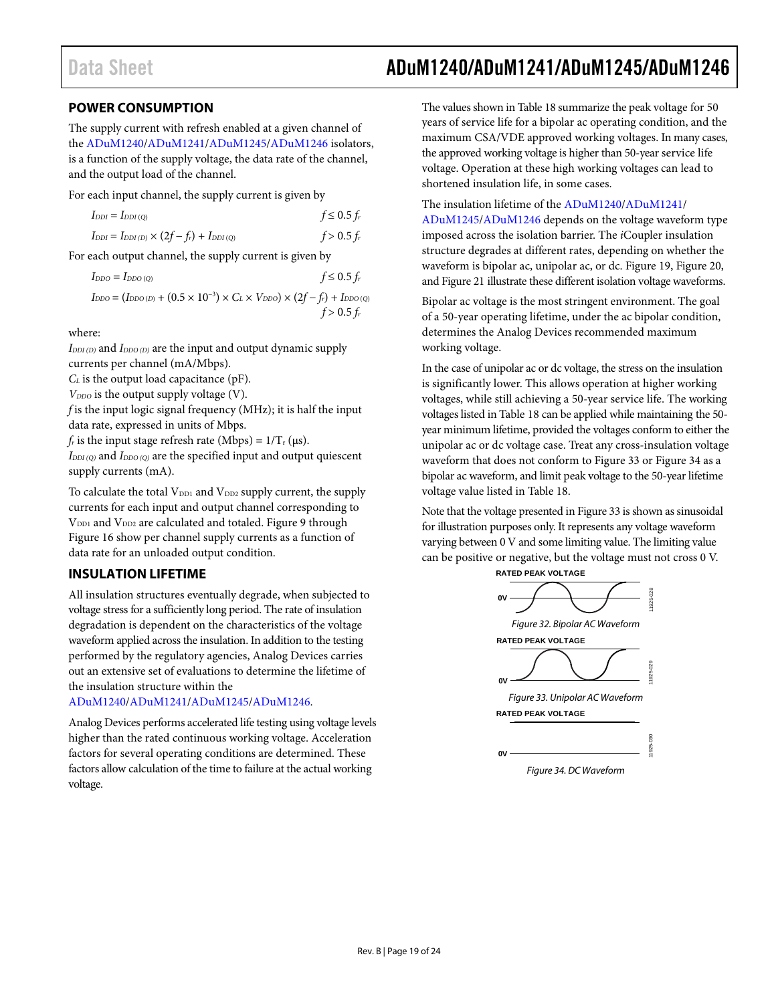### <span id="page-18-0"></span>**POWER CONSUMPTION**

The supply current with refresh enabled at a given channel of the [ADuM1240/](http://www.analog.com/ADuM1240?doc=ADuM1240_1241_1245_1246.pdf)[ADuM1241/](http://www.analog.com/ADuM1241?doc=ADuM1240_1241_1245_1246.pdf)[ADuM1245/](http://www.analog.com/ADuM1245?doc=ADuM1240_1241_1245_1246.pdf)[ADuM1246](http://www.analog.com/ADuM1246?doc=ADuM1240_1241_1245_1246.pdf) isolators, is a function of the supply voltage, the data rate of the channel, and the output load of the channel.

For each input channel, the supply current is given by

| $I_{DDI} = I_{DDI(Q)}$                                | $f \leq 0.5 f_r$ |
|-------------------------------------------------------|------------------|
| $I_{DDI} = I_{DDI(D)} \times (2f - f_r) + I_{DDI(Q)}$ | $f > 0.5 f_r$    |

For each output channel, the supply current is given by

| $I_{DDO} = I_{DDO(O)}$ | $f \leq 0.5 f_r$                                                                                         |
|------------------------|----------------------------------------------------------------------------------------------------------|
|                        | $I_{DDO} = (I_{DDO(D)} + (0.5 \times 10^{-3}) \times C_L \times V_{DDO}) \times (2f - f_r) + I_{DDO(Q)}$ |

 $f > 0.5 f_r$ 

where:

*I<sub>DDI(D)</sub>* and *I<sub>DDO(D)</sub>* are the input and output dynamic supply currents per channel (mA/Mbps).

*C<sub>L</sub>* is the output load capacitance (pF).

*V<sub>DDO</sub>* is the output supply voltage (V).

*f* is the input logic signal frequency (MHz); it is half the input data rate, expressed in units of Mbps.

 $f_r$  is the input stage refresh rate (Mbps) =  $1/T_r$  ( $\mu$ s).

*IDDI (Q)* and *IDDO (Q)* are the specified input and output quiescent supply currents (mA).

To calculate the total V<sub>DD1</sub> and V<sub>DD2</sub> supply current, the supply currents for each input and output channel corresponding to V<sub>DD1</sub> and V<sub>DD2</sub> are calculated and totaled[. Figure 9](#page-13-1) through [Figure 16](#page-14-4) show per channel supply currents as a function of data rate for an unloaded output condition.

### <span id="page-18-1"></span>**INSULATION LIFETIME**

All insulation structures eventually degrade, when subjected to voltage stress for a sufficiently long period. The rate of insulation degradation is dependent on the characteristics of the voltage waveform applied across the insulation. In addition to the testing performed by the regulatory agencies, Analog Devices carries out an extensive set of evaluations to determine the lifetime of the insulation structure within the

#### [ADuM1240/](http://www.analog.com/ADuM1240?doc=ADuM1240_1241_1245_1246.pdf)[ADuM1241/](http://www.analog.com/ADuM1241?doc=ADuM1240_1241_1245_1246.pdf)[ADuM1245/](http://www.analog.com/ADuM1245?doc=ADuM1240_1241_1245_1246.pdf)[ADuM1246.](http://www.analog.com/ADuM1246?doc=ADuM1240_1241_1245_1246.pdf)

Analog Devices performs accelerated life testing using voltage levels higher than the rated continuous working voltage. Acceleration factors for several operating conditions are determined. These factors allow calculation of the time to failure at the actual working voltage.

### Data Sheet **ADuM1240/ADuM1241/ADuM1245/ADuM1246**

The values shown i[n Table 18](#page-9-3) summarize the peak voltage for 50 years of service life for a bipolar ac operating condition, and the maximum CSA/VDE approved working voltages. In many cases, the approved working voltage is higher than 50-year service life voltage. Operation at these high working voltages can lead to shortened insulation life, in some cases.

The insulation lifetime of th[e ADuM1240/](http://www.analog.com/ADuM1240?doc=ADuM1240_1241_1245_1246.pdf)[ADuM1241/](http://www.analog.com/ADuM1241?doc=ADuM1240_1241_1245_1246.pdf)

[ADuM1245/](http://www.analog.com/ADuM1245?doc=ADuM1240_1241_1245_1246.pdf)[ADuM1246](http://www.analog.com/ADuM1246?doc=ADuM1240_1241_1245_1246.pdf) depends on the voltage waveform type imposed across the isolation barrier. The *i*Coupler insulation structure degrades at different rates, depending on whether the waveform is bipolar ac, unipolar ac, or dc[. Figure 19,](#page-14-5) [Figure 20,](#page-14-6) an[d Figure 21](#page-15-0) illustrate these different isolation voltage waveforms.

Bipolar ac voltage is the most stringent environment. The goal of a 50-year operating lifetime, under the ac bipolar condition, determines the Analog Devices recommended maximum working voltage.

In the case of unipolar ac or dc voltage, the stress on the insulation is significantly lower. This allows operation at higher working voltages, while still achieving a 50-year service life. The working voltages listed i[n Table 18](#page-9-3) can be applied while maintaining the 50 year minimum lifetime, provided the voltages conform to either the unipolar ac or dc voltage case. Treat any cross-insulation voltage waveform that does not conform t[o Figure 33](#page-18-2) o[r Figure 34](#page-18-3) as a bipolar ac waveform, and limit peak voltage to the 50-year lifetime voltage value listed i[n Table 18.](#page-9-3)

Note that the voltage presented i[n Figure 33](#page-18-2) is shown as sinusoidal for illustration purposes only. It represents any voltage waveform varying between 0 V and some limiting value. The limiting value can be positive or negative, but the voltage must not cross 0 V.

<span id="page-18-3"></span><span id="page-18-2"></span>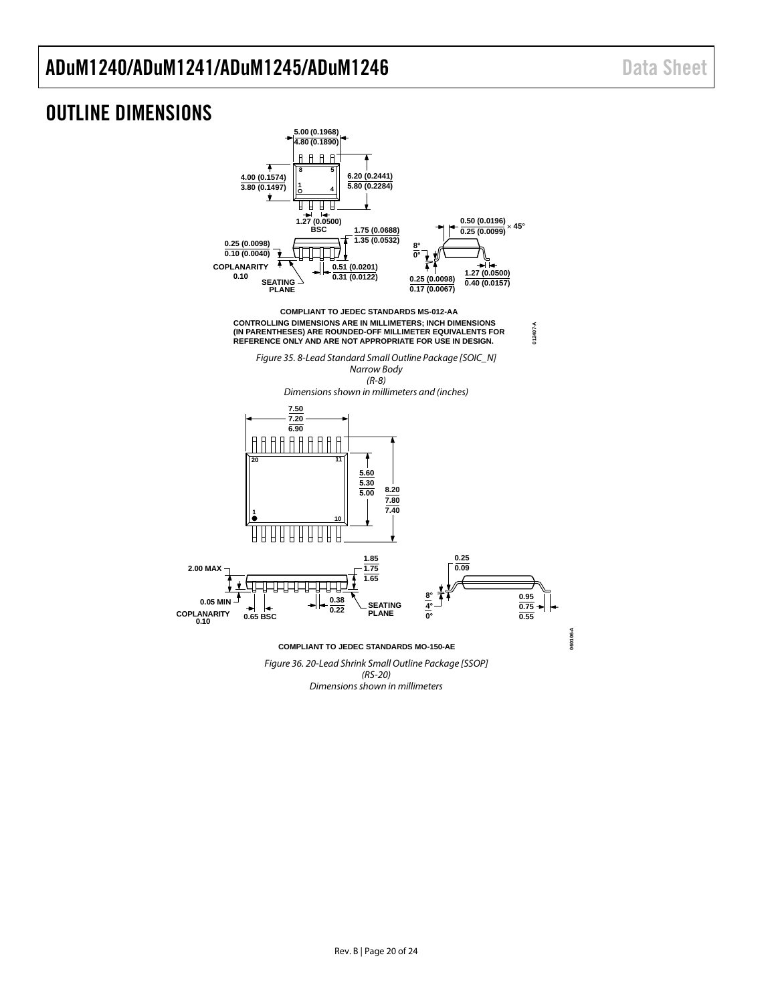### <span id="page-19-0"></span>OUTLINE DIMENSIONS



*Dimensions shown in millimeters*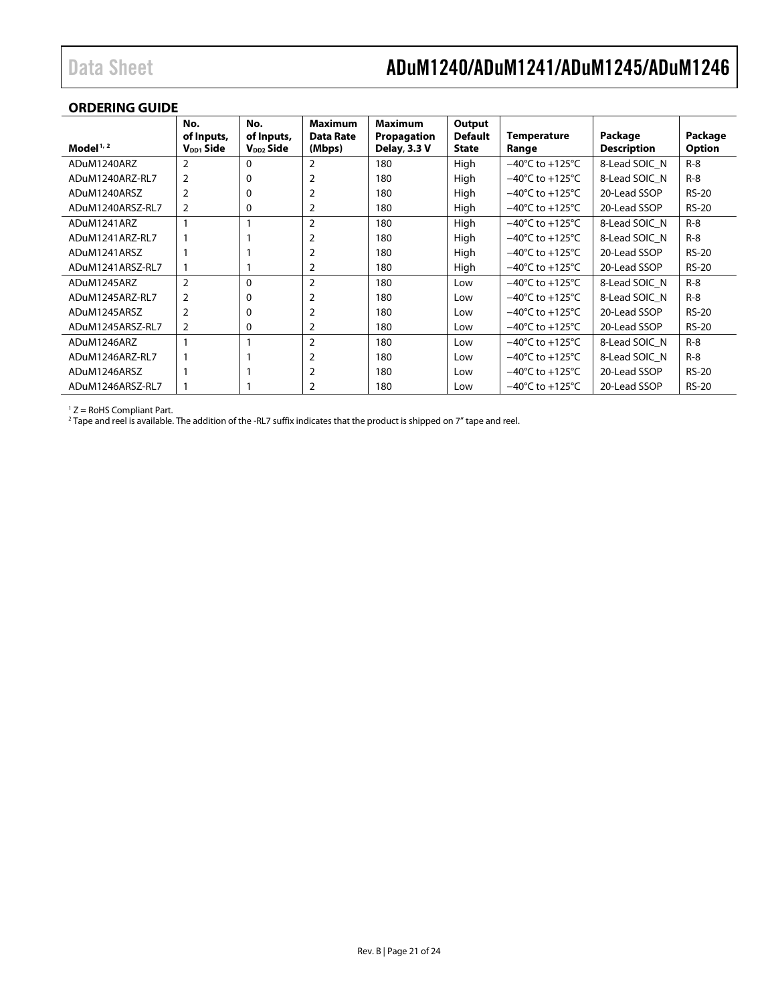### **ORDERING GUIDE**

| Model $1/2$      | No.<br>of Inputs,<br>$V_{DD1}$ Side | No.<br>of Inputs,<br>V <sub>DD2</sub> Side | <b>Maximum</b><br><b>Data Rate</b><br>(Mbps) | <b>Maximum</b><br>Propagation<br>Delay, 3.3 V | Output<br><b>Default</b><br>State | <b>Temperature</b><br>Range         | Package<br><b>Description</b> | Package<br><b>Option</b> |
|------------------|-------------------------------------|--------------------------------------------|----------------------------------------------|-----------------------------------------------|-----------------------------------|-------------------------------------|-------------------------------|--------------------------|
| ADuM1240ARZ      | $\overline{2}$                      | $\Omega$                                   | 2                                            | 180                                           | High                              | $-40^{\circ}$ C to $+125^{\circ}$ C | 8-Lead SOIC N                 | $R-8$                    |
| ADuM1240ARZ-RL7  | 2                                   | 0                                          |                                              | 180                                           | High                              | $-40^{\circ}$ C to $+125^{\circ}$ C | 8-Lead SOIC N                 | $R-8$                    |
| ADuM1240ARSZ     |                                     | 0                                          |                                              | 180                                           | High                              | $-40^{\circ}$ C to $+125^{\circ}$ C | 20-Lead SSOP                  | <b>RS-20</b>             |
| ADuM1240ARSZ-RL7 | 2                                   | 0                                          | 2                                            | 180                                           | High                              | $-40^{\circ}$ C to $+125^{\circ}$ C | 20-Lead SSOP                  | <b>RS-20</b>             |
| ADuM1241ARZ      |                                     |                                            | $\overline{2}$                               | 180                                           | High                              | $-40^{\circ}$ C to $+125^{\circ}$ C | 8-Lead SOIC N                 | $R-8$                    |
| ADuM1241ARZ-RL7  |                                     |                                            |                                              | 180                                           | High                              | $-40^{\circ}$ C to $+125^{\circ}$ C | 8-Lead SOIC N                 | $R-8$                    |
| ADuM1241ARSZ     |                                     |                                            |                                              | 180                                           | High                              | $-40^{\circ}$ C to $+125^{\circ}$ C | 20-Lead SSOP                  | $RS-20$                  |
| ADuM1241ARSZ-RL7 |                                     |                                            | 2                                            | 180                                           | High                              | $-40^{\circ}$ C to $+125^{\circ}$ C | 20-Lead SSOP                  | <b>RS-20</b>             |
| ADuM1245ARZ      | $\overline{2}$                      | 0                                          | 2                                            | 180                                           | Low                               | $-40^{\circ}$ C to $+125^{\circ}$ C | 8-Lead SOIC N                 | $R-8$                    |
| ADuM1245ARZ-RL7  | 2                                   | 0                                          |                                              | 180                                           | Low                               | $-40^{\circ}$ C to $+125^{\circ}$ C | 8-Lead SOIC N                 | $R - 8$                  |
| ADuM1245ARSZ     |                                     | 0                                          |                                              | 180                                           | Low                               | $-40^{\circ}$ C to $+125^{\circ}$ C | 20-Lead SSOP                  | <b>RS-20</b>             |
| ADuM1245ARSZ-RL7 | 2                                   | 0                                          |                                              | 180                                           | Low                               | $-40^{\circ}$ C to $+125^{\circ}$ C | 20-Lead SSOP                  | <b>RS-20</b>             |
| ADuM1246ARZ      |                                     |                                            | $\overline{2}$                               | 180                                           | Low                               | $-40^{\circ}$ C to $+125^{\circ}$ C | 8-Lead SOIC N                 | $R-8$                    |
| ADuM1246ARZ-RL7  |                                     |                                            |                                              | 180                                           | Low                               | $-40^{\circ}$ C to $+125^{\circ}$ C | 8-Lead SOIC N                 | $R-8$                    |
| ADuM1246ARSZ     |                                     |                                            |                                              | 180                                           | Low                               | $-40^{\circ}$ C to $+125^{\circ}$ C | 20-Lead SSOP                  | $RS-20$                  |
| ADuM1246ARSZ-RL7 |                                     |                                            |                                              | 180                                           | Low                               | $-40^{\circ}$ C to $+125^{\circ}$ C | 20-Lead SSOP                  | <b>RS-20</b>             |

 $1 Z =$  RoHS Compliant Part.

<span id="page-20-0"></span><sup>2</sup> Tape and reel is available. The addition of the -RL7 suffix indicates that the product is shipped on 7" tape and reel.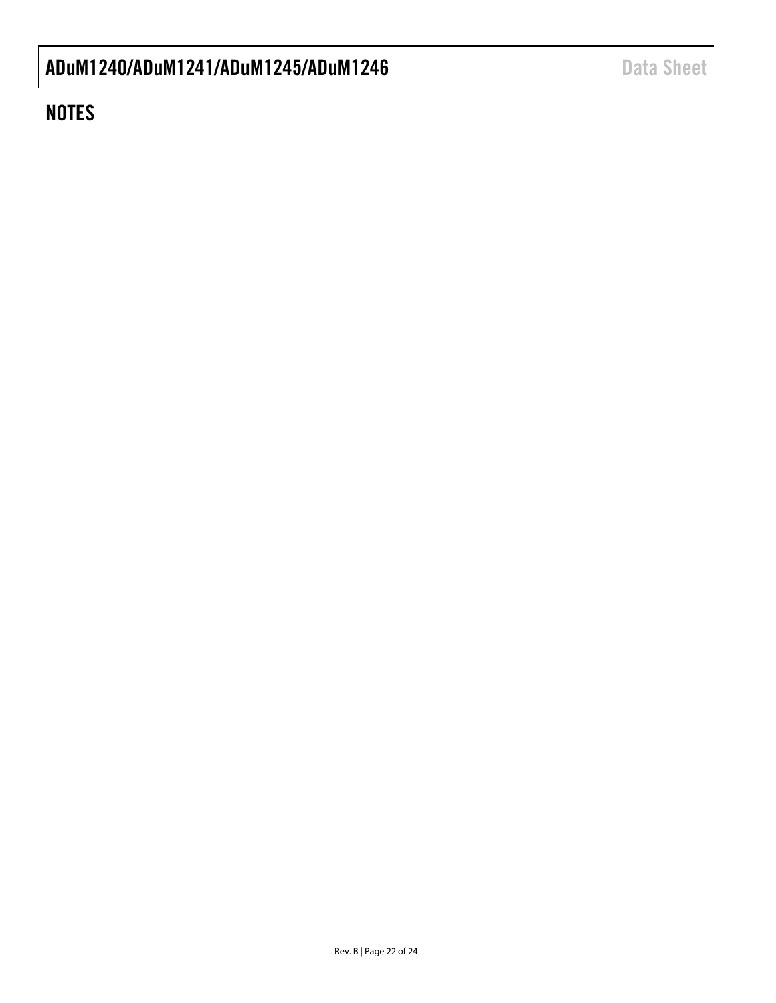### **NOTES**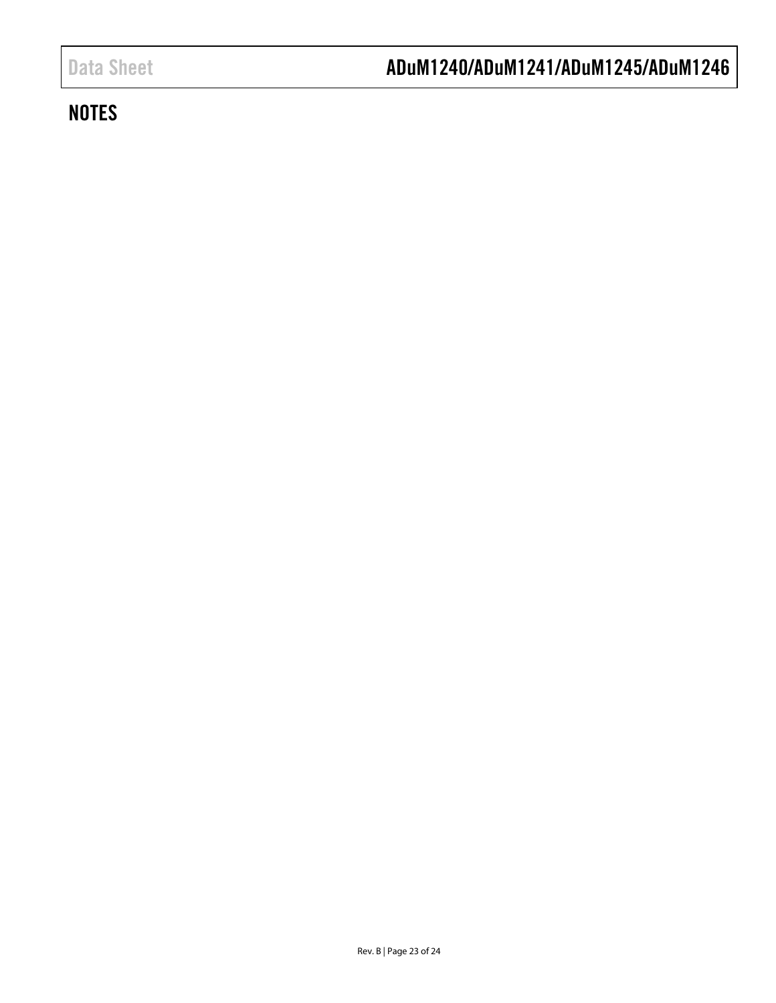### <span id="page-22-0"></span>**NOTES**